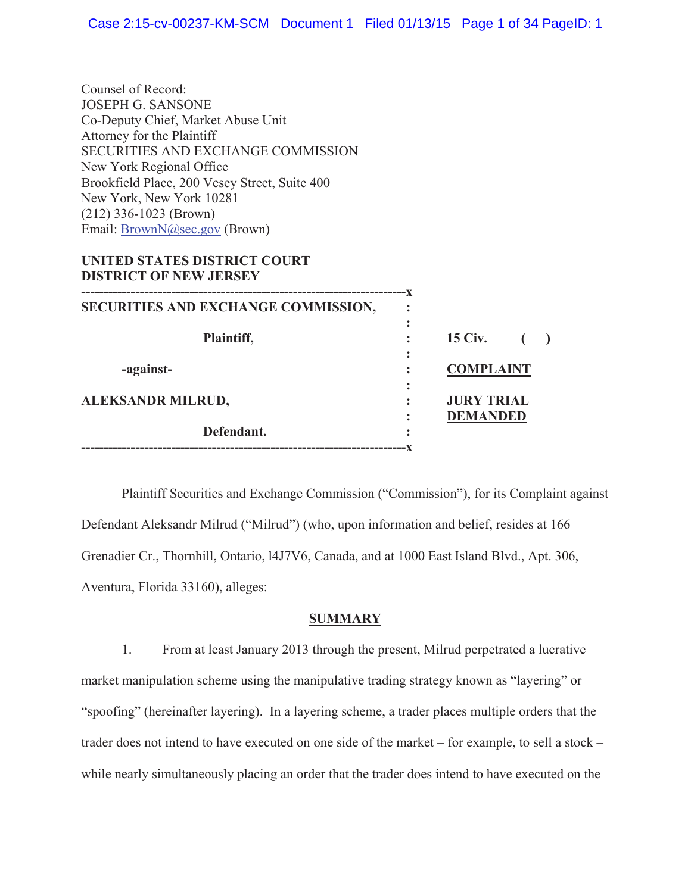Counsel of Record: JOSEPH G. SANSONE Co-Deputy Chief, Market Abuse Unit Attorney for the Plaintiff SECURITIES AND EXCHANGE COMMISSION New York Regional Office Brookfield Place, 200 Vesey Street, Suite 400 New York, New York 10281 (212) 336-1023 (Brown) Email: BrownN@sec.gov (Brown)

### **UNITED STATES DISTRICT COURT DISTRICT OF NEW JERSEY**

| SECURITIES AND EXCHANGE COMMISSION, |        |                   |  |
|-------------------------------------|--------|-------------------|--|
| Plaintiff,                          |        | <b>15 Civ.</b>    |  |
| -against-                           |        | <b>COMPLAINT</b>  |  |
| ALEKSANDR MILRUD,                   |        | <b>JURY TRIAL</b> |  |
| Defendant.                          | ٠<br>٠ | <b>DEMANDED</b>   |  |
|                                     |        |                   |  |

 Plaintiff Securities and Exchange Commission ("Commission"), for its Complaint against Defendant Aleksandr Milrud ("Milrud") (who, upon information and belief, resides at 166 Grenadier Cr., Thornhill, Ontario, l4J7V6, Canada, and at 1000 East Island Blvd., Apt. 306, Aventura, Florida 33160), alleges:

# **SUMMARY**

1. From at least January 2013 through the present, Milrud perpetrated a lucrative market manipulation scheme using the manipulative trading strategy known as "layering" or "spoofing" (hereinafter layering). In a layering scheme, a trader places multiple orders that the trader does not intend to have executed on one side of the market – for example, to sell a stock – while nearly simultaneously placing an order that the trader does intend to have executed on the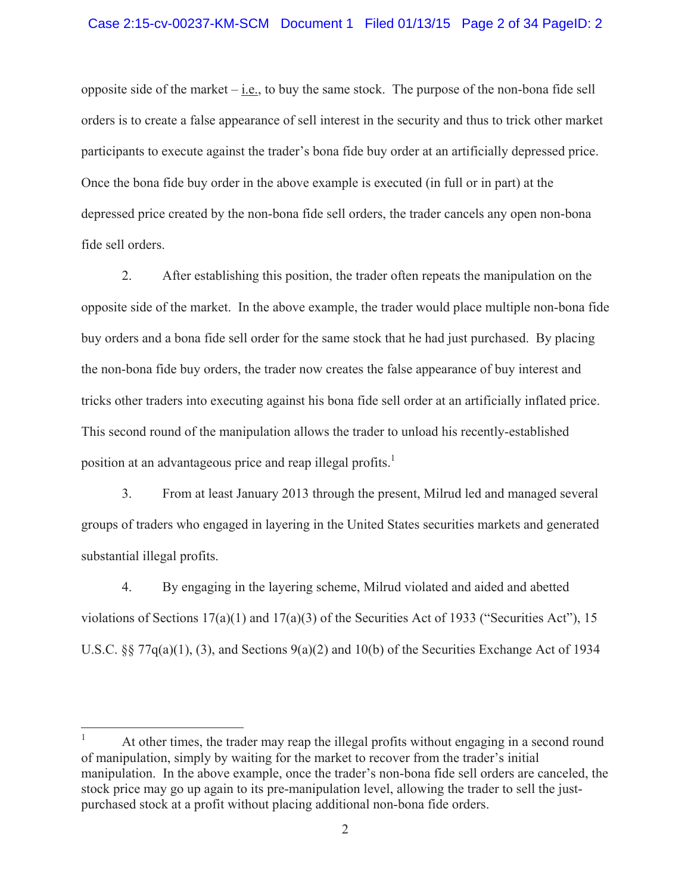opposite side of the market  $-\underline{i.e.}$ , to buy the same stock. The purpose of the non-bona fide sell orders is to create a false appearance of sell interest in the security and thus to trick other market participants to execute against the trader's bona fide buy order at an artificially depressed price. Once the bona fide buy order in the above example is executed (in full or in part) at the depressed price created by the non-bona fide sell orders, the trader cancels any open non-bona fide sell orders.

2. After establishing this position, the trader often repeats the manipulation on the opposite side of the market. In the above example, the trader would place multiple non-bona fide buy orders and a bona fide sell order for the same stock that he had just purchased. By placing the non-bona fide buy orders, the trader now creates the false appearance of buy interest and tricks other traders into executing against his bona fide sell order at an artificially inflated price. This second round of the manipulation allows the trader to unload his recently-established position at an advantageous price and reap illegal profits.<sup>1</sup>

3. From at least January 2013 through the present, Milrud led and managed several groups of traders who engaged in layering in the United States securities markets and generated substantial illegal profits.

4. By engaging in the layering scheme, Milrud violated and aided and abetted violations of Sections 17(a)(1) and 17(a)(3) of the Securities Act of 1933 ("Securities Act"), 15 U.S.C. §§ 77q(a)(1), (3), and Sections 9(a)(2) and 10(b) of the Securities Exchange Act of 1934

<sup>1</sup> At other times, the trader may reap the illegal profits without engaging in a second round of manipulation, simply by waiting for the market to recover from the trader's initial manipulation. In the above example, once the trader's non-bona fide sell orders are canceled, the stock price may go up again to its pre-manipulation level, allowing the trader to sell the justpurchased stock at a profit without placing additional non-bona fide orders.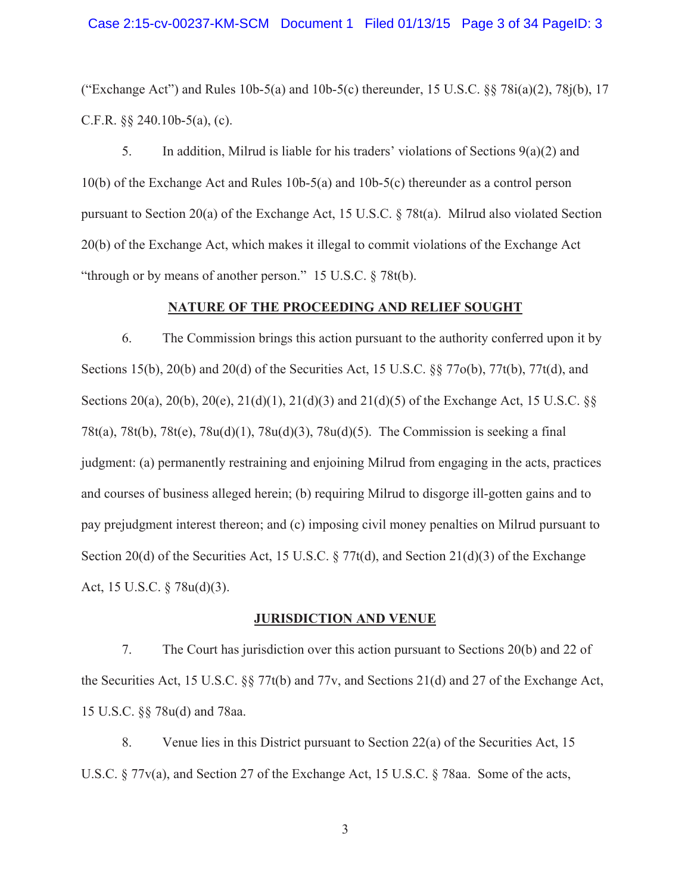("Exchange Act") and Rules  $10b-5(a)$  and  $10b-5(c)$  thereunder,  $15 \text{ U.S.C.}$  §§  $78i(a)(2)$ ,  $78i(b)$ ,  $17$ C.F.R. §§ 240.10b-5(a), (c).

5. In addition, Milrud is liable for his traders' violations of Sections  $9(a)(2)$  and 10(b) of the Exchange Act and Rules 10b-5(a) and 10b-5(c) thereunder as a control person pursuant to Section 20(a) of the Exchange Act, 15 U.S.C. § 78t(a). Milrud also violated Section 20(b) of the Exchange Act, which makes it illegal to commit violations of the Exchange Act "through or by means of another person." 15 U.S.C. § 78t(b).

#### **NATURE OF THE PROCEEDING AND RELIEF SOUGHT**

6. The Commission brings this action pursuant to the authority conferred upon it by Sections 15(b), 20(b) and 20(d) of the Securities Act, 15 U.S.C. §§ 77o(b), 77t(b), 77t(d), and Sections 20(a), 20(b), 20(e), 21(d)(1), 21(d)(3) and 21(d)(5) of the Exchange Act, 15 U.S.C. §§ 78t(a), 78t(b), 78t(e), 78u(d)(1), 78u(d)(3), 78u(d)(5). The Commission is seeking a final judgment: (a) permanently restraining and enjoining Milrud from engaging in the acts, practices and courses of business alleged herein; (b) requiring Milrud to disgorge ill-gotten gains and to pay prejudgment interest thereon; and (c) imposing civil money penalties on Milrud pursuant to Section 20(d) of the Securities Act, 15 U.S.C.  $\S 77t(d)$ , and Section 21(d)(3) of the Exchange Act, 15 U.S.C. § 78u(d)(3).

### **JURISDICTION AND VENUE**

7. The Court has jurisdiction over this action pursuant to Sections 20(b) and 22 of the Securities Act, 15 U.S.C. §§ 77t(b) and 77v, and Sections 21(d) and 27 of the Exchange Act, 15 U.S.C. §§ 78u(d) and 78aa.

8. Venue lies in this District pursuant to Section 22(a) of the Securities Act, 15 U.S.C. § 77v(a), and Section 27 of the Exchange Act, 15 U.S.C. § 78aa. Some of the acts,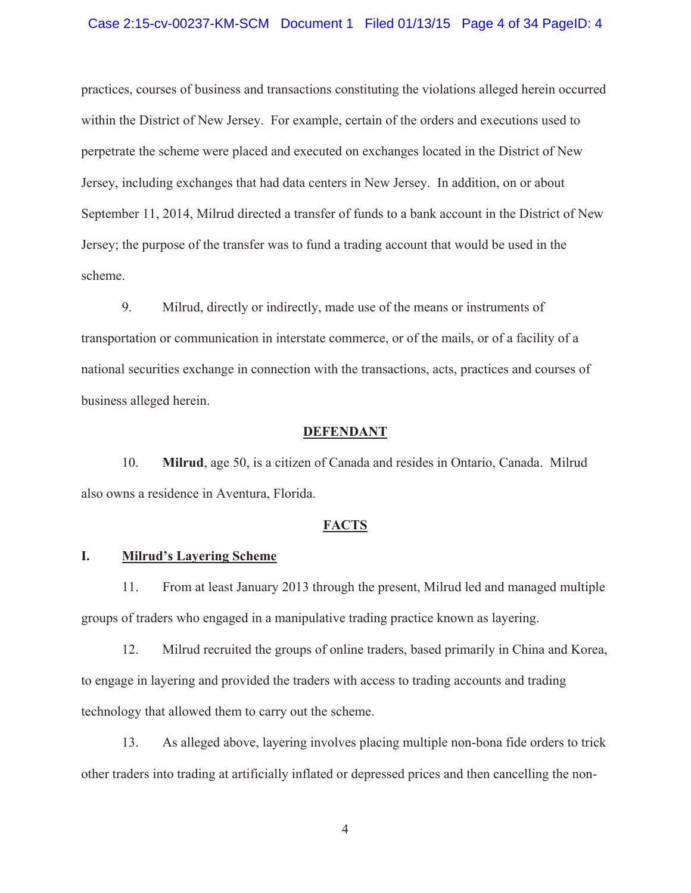#### Case 2:15-cv-00237-KM-SCM Document 1 Filed 01/13/15 Page 4 of 34 PageID: 4

practices, courses of business and transactions constituting the violations alleged herein occurred within the District of New Jersey. For example, certain of the orders and executions used to perpetrate the scheme were placed and executed on exchanges located in the District of New Jersey, including exchanges that had data centers in New Jersey. In addition, on or about September 11, 2014, Milrud directed a transfer of funds to a bank account in the District of New Jersey; the purpose of the transfer was to fund a trading account that would be used in the scheme.

9. Milrud, directly or indirectly, made use of the means or instruments of transportation or communication in interstate commerce, or of the mails, or of a facility of a national securities exchange in connection with the transactions, acts, practices and courses of business alleged herein.

#### **DEFENDANT**

10. **Milrud**, age 50, is a citizen of Canada and resides in Ontario, Canada. Milrud also owns a residence in Aventura, Florida.

#### **FACTS**

### **I. Milrud's Layering Scheme**

11. From at least January 2013 through the present, Milrud led and managed multiple groups of traders who engaged in a manipulative trading practice known as layering.

12. Milrud recruited the groups of online traders, based primarily in China and Korea, to engage in layering and provided the traders with access to trading accounts and trading technology that allowed them to carry out the scheme.

13. As alleged above, layering involves placing multiple non-bona fide orders to trick other traders into trading at artificially inflated or depressed prices and then cancelling the non-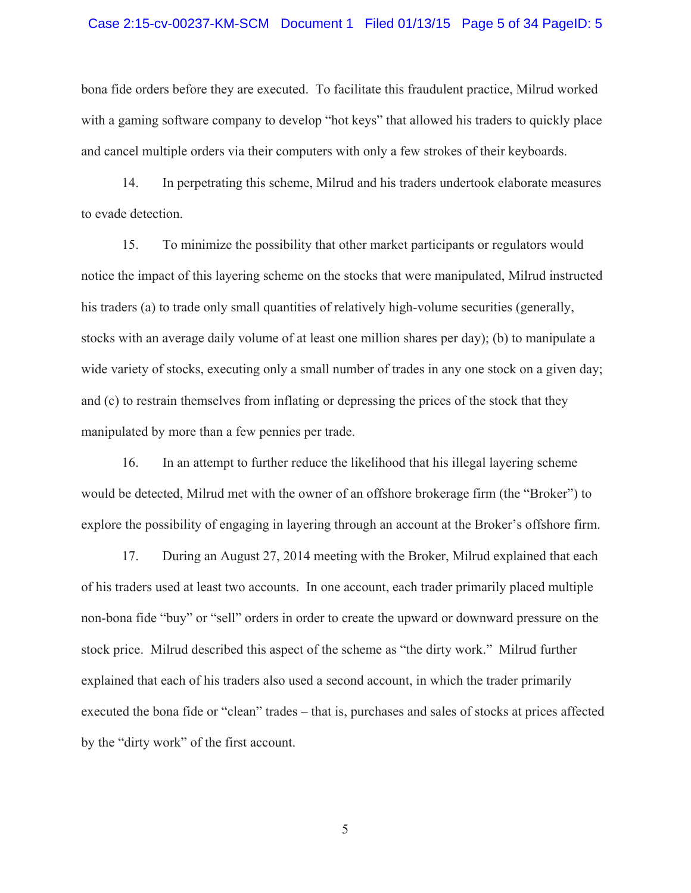#### Case 2:15-cv-00237-KM-SCM Document 1 Filed 01/13/15 Page 5 of 34 PageID: 5

bona fide orders before they are executed. To facilitate this fraudulent practice, Milrud worked with a gaming software company to develop "hot keys" that allowed his traders to quickly place and cancel multiple orders via their computers with only a few strokes of their keyboards.

14. In perpetrating this scheme, Milrud and his traders undertook elaborate measures to evade detection.

15. To minimize the possibility that other market participants or regulators would notice the impact of this layering scheme on the stocks that were manipulated, Milrud instructed his traders (a) to trade only small quantities of relatively high-volume securities (generally, stocks with an average daily volume of at least one million shares per day); (b) to manipulate a wide variety of stocks, executing only a small number of trades in any one stock on a given day; and (c) to restrain themselves from inflating or depressing the prices of the stock that they manipulated by more than a few pennies per trade.

16. In an attempt to further reduce the likelihood that his illegal layering scheme would be detected, Milrud met with the owner of an offshore brokerage firm (the "Broker") to explore the possibility of engaging in layering through an account at the Broker's offshore firm.

17. During an August 27, 2014 meeting with the Broker, Milrud explained that each of his traders used at least two accounts. In one account, each trader primarily placed multiple non-bona fide "buy" or "sell" orders in order to create the upward or downward pressure on the stock price. Milrud described this aspect of the scheme as "the dirty work." Milrud further explained that each of his traders also used a second account, in which the trader primarily executed the bona fide or "clean" trades – that is, purchases and sales of stocks at prices affected by the "dirty work" of the first account.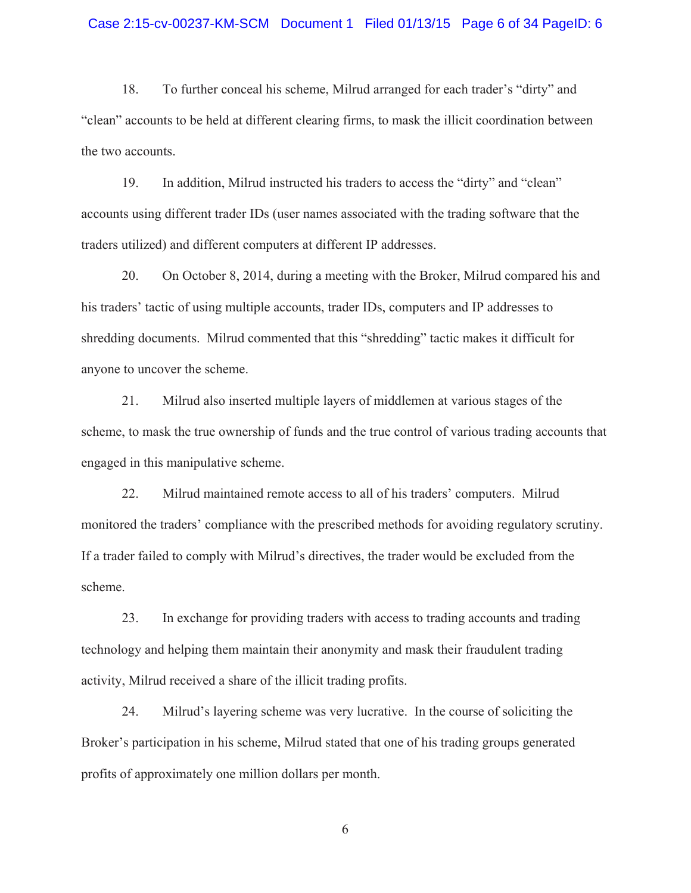#### Case 2:15-cv-00237-KM-SCM Document 1 Filed 01/13/15 Page 6 of 34 PageID: 6

18. To further conceal his scheme, Milrud arranged for each trader's "dirty" and "clean" accounts to be held at different clearing firms, to mask the illicit coordination between the two accounts.

19. In addition, Milrud instructed his traders to access the "dirty" and "clean" accounts using different trader IDs (user names associated with the trading software that the traders utilized) and different computers at different IP addresses.

20. On October 8, 2014, during a meeting with the Broker, Milrud compared his and his traders' tactic of using multiple accounts, trader IDs, computers and IP addresses to shredding documents. Milrud commented that this "shredding" tactic makes it difficult for anyone to uncover the scheme.

21. Milrud also inserted multiple layers of middlemen at various stages of the scheme, to mask the true ownership of funds and the true control of various trading accounts that engaged in this manipulative scheme.

22. Milrud maintained remote access to all of his traders' computers. Milrud monitored the traders' compliance with the prescribed methods for avoiding regulatory scrutiny. If a trader failed to comply with Milrud's directives, the trader would be excluded from the scheme.

23. In exchange for providing traders with access to trading accounts and trading technology and helping them maintain their anonymity and mask their fraudulent trading activity, Milrud received a share of the illicit trading profits.

24. Milrud's layering scheme was very lucrative. In the course of soliciting the Broker's participation in his scheme, Milrud stated that one of his trading groups generated profits of approximately one million dollars per month.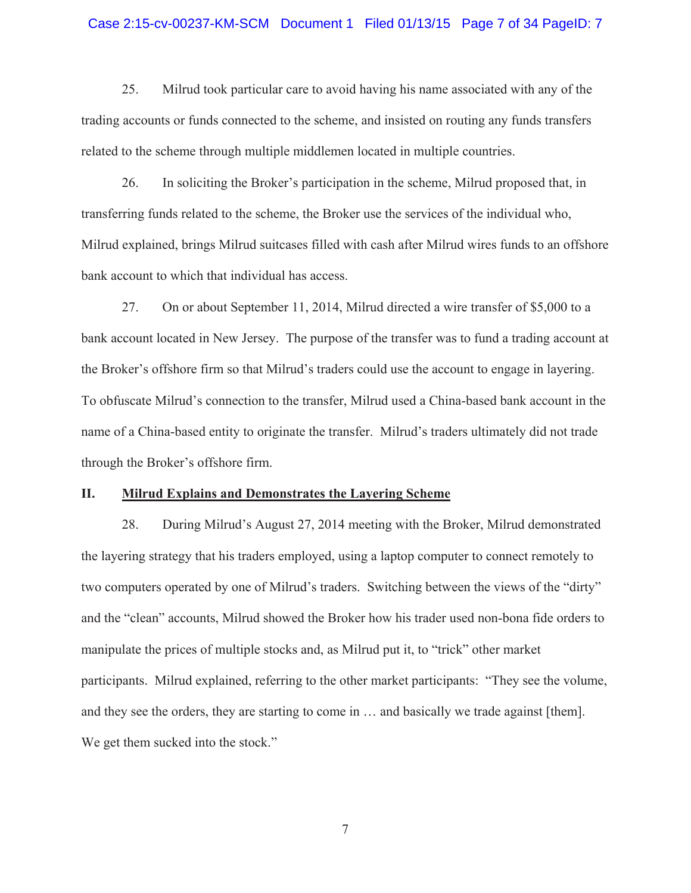#### Case 2:15-cv-00237-KM-SCM Document 1 Filed 01/13/15 Page 7 of 34 PageID: 7

25. Milrud took particular care to avoid having his name associated with any of the trading accounts or funds connected to the scheme, and insisted on routing any funds transfers related to the scheme through multiple middlemen located in multiple countries.

26. In soliciting the Broker's participation in the scheme, Milrud proposed that, in transferring funds related to the scheme, the Broker use the services of the individual who, Milrud explained, brings Milrud suitcases filled with cash after Milrud wires funds to an offshore bank account to which that individual has access.

27. On or about September 11, 2014, Milrud directed a wire transfer of \$5,000 to a bank account located in New Jersey. The purpose of the transfer was to fund a trading account at the Broker's offshore firm so that Milrud's traders could use the account to engage in layering. To obfuscate Milrud's connection to the transfer, Milrud used a China-based bank account in the name of a China-based entity to originate the transfer. Milrud's traders ultimately did not trade through the Broker's offshore firm.

#### **II. Milrud Explains and Demonstrates the Layering Scheme**

28. During Milrud's August 27, 2014 meeting with the Broker, Milrud demonstrated the layering strategy that his traders employed, using a laptop computer to connect remotely to two computers operated by one of Milrud's traders. Switching between the views of the "dirty" and the "clean" accounts, Milrud showed the Broker how his trader used non-bona fide orders to manipulate the prices of multiple stocks and, as Milrud put it, to "trick" other market participants. Milrud explained, referring to the other market participants: "They see the volume, and they see the orders, they are starting to come in … and basically we trade against [them]. We get them sucked into the stock."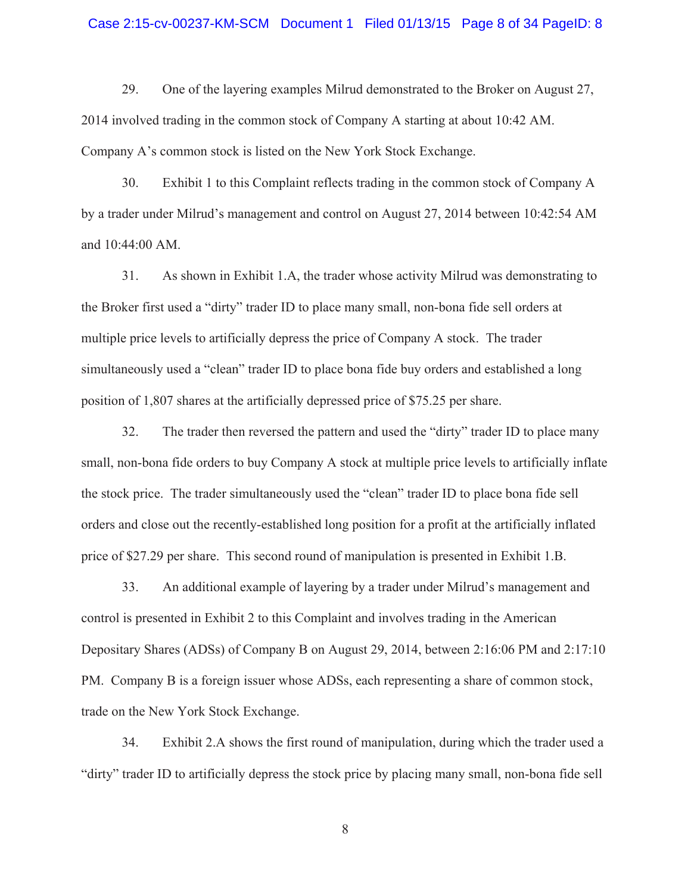#### Case 2:15-cv-00237-KM-SCM Document 1 Filed 01/13/15 Page 8 of 34 PageID: 8

29. One of the layering examples Milrud demonstrated to the Broker on August 27, 2014 involved trading in the common stock of Company A starting at about 10:42 AM. Company A's common stock is listed on the New York Stock Exchange.

30. Exhibit 1 to this Complaint reflects trading in the common stock of Company A by a trader under Milrud's management and control on August 27, 2014 between 10:42:54 AM and 10:44:00 AM.

31. As shown in Exhibit 1.A, the trader whose activity Milrud was demonstrating to the Broker first used a "dirty" trader ID to place many small, non-bona fide sell orders at multiple price levels to artificially depress the price of Company A stock. The trader simultaneously used a "clean" trader ID to place bona fide buy orders and established a long position of 1,807 shares at the artificially depressed price of \$75.25 per share.

32. The trader then reversed the pattern and used the "dirty" trader ID to place many small, non-bona fide orders to buy Company A stock at multiple price levels to artificially inflate the stock price. The trader simultaneously used the "clean" trader ID to place bona fide sell orders and close out the recently-established long position for a profit at the artificially inflated price of \$27.29 per share. This second round of manipulation is presented in Exhibit 1.B.

33. An additional example of layering by a trader under Milrud's management and control is presented in Exhibit 2 to this Complaint and involves trading in the American Depositary Shares (ADSs) of Company B on August 29, 2014, between 2:16:06 PM and 2:17:10 PM. Company B is a foreign issuer whose ADSs, each representing a share of common stock, trade on the New York Stock Exchange.

34. Exhibit 2.A shows the first round of manipulation, during which the trader used a "dirty" trader ID to artificially depress the stock price by placing many small, non-bona fide sell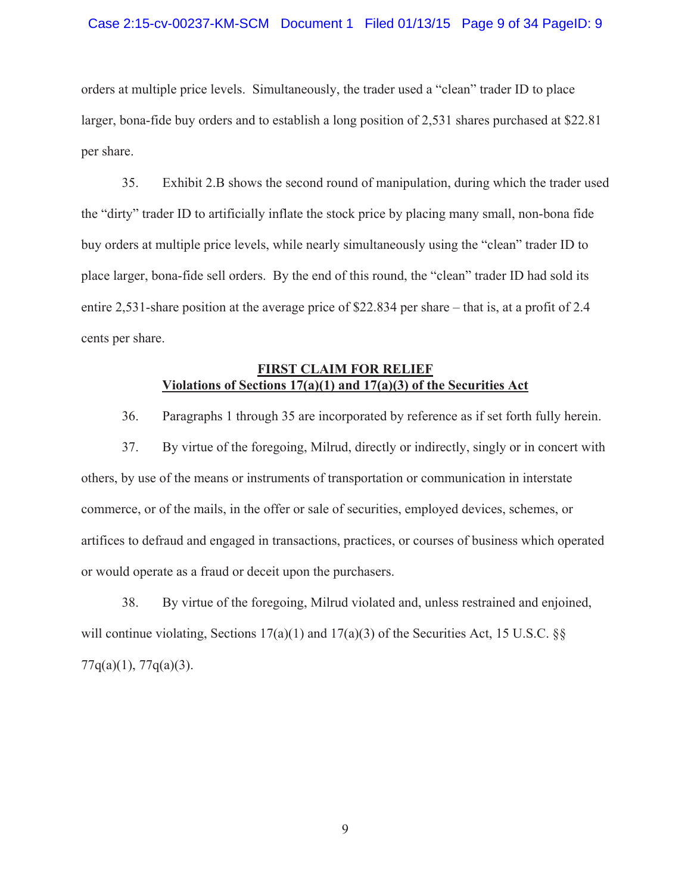### Case 2:15-cv-00237-KM-SCM Document 1 Filed 01/13/15 Page 9 of 34 PageID: 9

orders at multiple price levels. Simultaneously, the trader used a "clean" trader ID to place larger, bona-fide buy orders and to establish a long position of 2,531 shares purchased at \$22.81 per share.

35. Exhibit 2.B shows the second round of manipulation, during which the trader used the "dirty" trader ID to artificially inflate the stock price by placing many small, non-bona fide buy orders at multiple price levels, while nearly simultaneously using the "clean" trader ID to place larger, bona-fide sell orders. By the end of this round, the "clean" trader ID had sold its entire 2,531-share position at the average price of \$22.834 per share – that is, at a profit of 2.4 cents per share.

### **FIRST CLAIM FOR RELIEF Violations of Sections 17(a)(1) and 17(a)(3) of the Securities Act**

36. Paragraphs 1 through 35 are incorporated by reference as if set forth fully herein.

37. By virtue of the foregoing, Milrud, directly or indirectly, singly or in concert with others, by use of the means or instruments of transportation or communication in interstate commerce, or of the mails, in the offer or sale of securities, employed devices, schemes, or artifices to defraud and engaged in transactions, practices, or courses of business which operated or would operate as a fraud or deceit upon the purchasers.

38. By virtue of the foregoing, Milrud violated and, unless restrained and enjoined, will continue violating, Sections  $17(a)(1)$  and  $17(a)(3)$  of the Securities Act, 15 U.S.C. §§  $77q(a)(1)$ ,  $77q(a)(3)$ .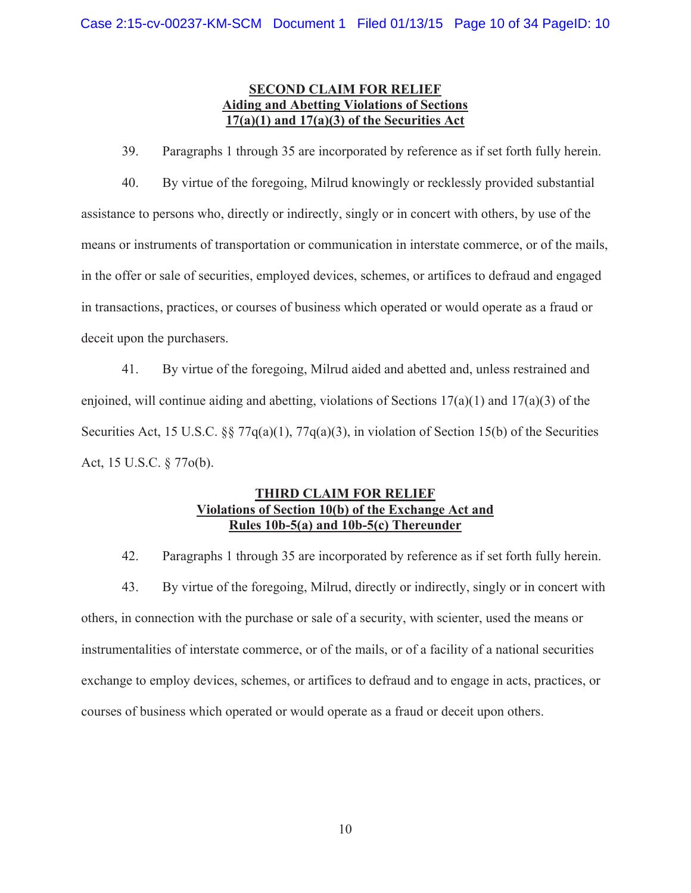# **SECOND CLAIM FOR RELIEF Aiding and Abetting Violations of Sections 17(a)(1) and 17(a)(3) of the Securities Act**

39. Paragraphs 1 through 35 are incorporated by reference as if set forth fully herein.

40. By virtue of the foregoing, Milrud knowingly or recklessly provided substantial assistance to persons who, directly or indirectly, singly or in concert with others, by use of the means or instruments of transportation or communication in interstate commerce, or of the mails, in the offer or sale of securities, employed devices, schemes, or artifices to defraud and engaged in transactions, practices, or courses of business which operated or would operate as a fraud or deceit upon the purchasers.

41. By virtue of the foregoing, Milrud aided and abetted and, unless restrained and enjoined, will continue aiding and abetting, violations of Sections  $17(a)(1)$  and  $17(a)(3)$  of the Securities Act, 15 U.S.C. §§ 77q(a)(1), 77q(a)(3), in violation of Section 15(b) of the Securities Act, 15 U.S.C. § 77o(b).

# **THIRD CLAIM FOR RELIEF Violations of Section 10(b) of the Exchange Act and Rules 10b-5(a) and 10b-5(c) Thereunder**

42. Paragraphs 1 through 35 are incorporated by reference as if set forth fully herein.

43. By virtue of the foregoing, Milrud, directly or indirectly, singly or in concert with others, in connection with the purchase or sale of a security, with scienter, used the means or instrumentalities of interstate commerce, or of the mails, or of a facility of a national securities exchange to employ devices, schemes, or artifices to defraud and to engage in acts, practices, or courses of business which operated or would operate as a fraud or deceit upon others.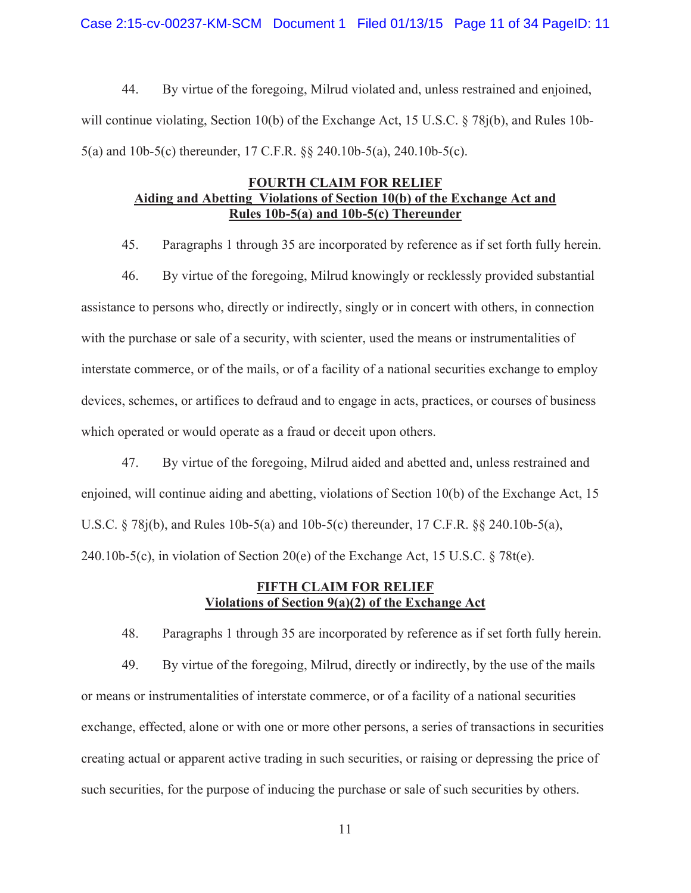Case 2:15-cv-00237-KM-SCM Document 1 Filed 01/13/15 Page 11 of 34 PageID: 11

44. By virtue of the foregoing, Milrud violated and, unless restrained and enjoined, will continue violating, Section 10(b) of the Exchange Act, 15 U.S.C. § 78j(b), and Rules 10b-5(a) and 10b-5(c) thereunder, 17 C.F.R. §§ 240.10b-5(a), 240.10b-5(c).

## **FOURTH CLAIM FOR RELIEF Aiding and Abetting Violations of Section 10(b) of the Exchange Act and Rules 10b-5(a) and 10b-5(c) Thereunder**

45. Paragraphs 1 through 35 are incorporated by reference as if set forth fully herein.

46. By virtue of the foregoing, Milrud knowingly or recklessly provided substantial assistance to persons who, directly or indirectly, singly or in concert with others, in connection with the purchase or sale of a security, with scienter, used the means or instrumentalities of interstate commerce, or of the mails, or of a facility of a national securities exchange to employ devices, schemes, or artifices to defraud and to engage in acts, practices, or courses of business which operated or would operate as a fraud or deceit upon others.

47. By virtue of the foregoing, Milrud aided and abetted and, unless restrained and enjoined, will continue aiding and abetting, violations of Section 10(b) of the Exchange Act, 15 U.S.C. § 78j(b), and Rules 10b-5(a) and 10b-5(c) thereunder, 17 C.F.R. §§ 240.10b-5(a), 240.10b-5(c), in violation of Section 20(e) of the Exchange Act, 15 U.S.C.  $\S 78t(e)$ .

## **FIFTH CLAIM FOR RELIEF Violations of Section 9(a)(2) of the Exchange Act**

48. Paragraphs 1 through 35 are incorporated by reference as if set forth fully herein.

49. By virtue of the foregoing, Milrud, directly or indirectly, by the use of the mails or means or instrumentalities of interstate commerce, or of a facility of a national securities exchange, effected, alone or with one or more other persons, a series of transactions in securities creating actual or apparent active trading in such securities, or raising or depressing the price of such securities, for the purpose of inducing the purchase or sale of such securities by others.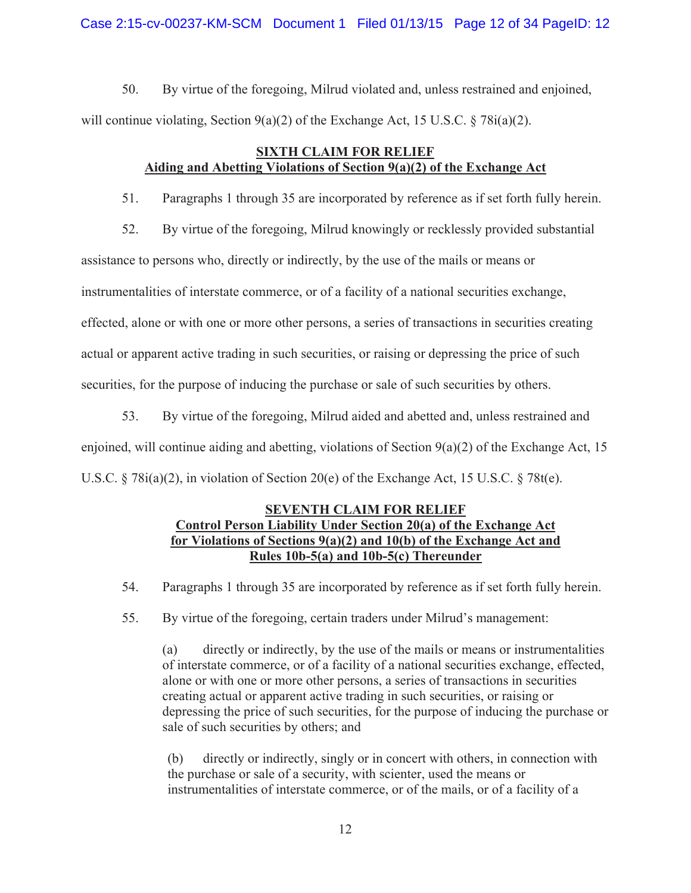Case 2:15-cv-00237-KM-SCM Document 1 Filed 01/13/15 Page 12 of 34 PageID: 12

50. By virtue of the foregoing, Milrud violated and, unless restrained and enjoined, will continue violating, Section  $9(a)(2)$  of the Exchange Act, 15 U.S.C. § 78i(a)(2).

# **SIXTH CLAIM FOR RELIEF Aiding and Abetting Violations of Section 9(a)(2) of the Exchange Act**

51. Paragraphs 1 through 35 are incorporated by reference as if set forth fully herein.

52. By virtue of the foregoing, Milrud knowingly or recklessly provided substantial

assistance to persons who, directly or indirectly, by the use of the mails or means or

instrumentalities of interstate commerce, or of a facility of a national securities exchange,

effected, alone or with one or more other persons, a series of transactions in securities creating

actual or apparent active trading in such securities, or raising or depressing the price of such

securities, for the purpose of inducing the purchase or sale of such securities by others.

53. By virtue of the foregoing, Milrud aided and abetted and, unless restrained and

enjoined, will continue aiding and abetting, violations of Section 9(a)(2) of the Exchange Act, 15

U.S.C.  $\S 78i(a)(2)$ , in violation of Section 20(e) of the Exchange Act, 15 U.S.C.  $\S 78t(e)$ .

## **SEVENTH CLAIM FOR RELIEF Control Person Liability Under Section 20(a) of the Exchange Act for Violations of Sections 9(a)(2) and 10(b) of the Exchange Act and Rules 10b-5(a) and 10b-5(c) Thereunder**

54. Paragraphs 1 through 35 are incorporated by reference as if set forth fully herein.

55. By virtue of the foregoing, certain traders under Milrud's management:

(a) directly or indirectly, by the use of the mails or means or instrumentalities of interstate commerce, or of a facility of a national securities exchange, effected, alone or with one or more other persons, a series of transactions in securities creating actual or apparent active trading in such securities, or raising or depressing the price of such securities, for the purpose of inducing the purchase or sale of such securities by others; and

(b) directly or indirectly, singly or in concert with others, in connection with the purchase or sale of a security, with scienter, used the means or instrumentalities of interstate commerce, or of the mails, or of a facility of a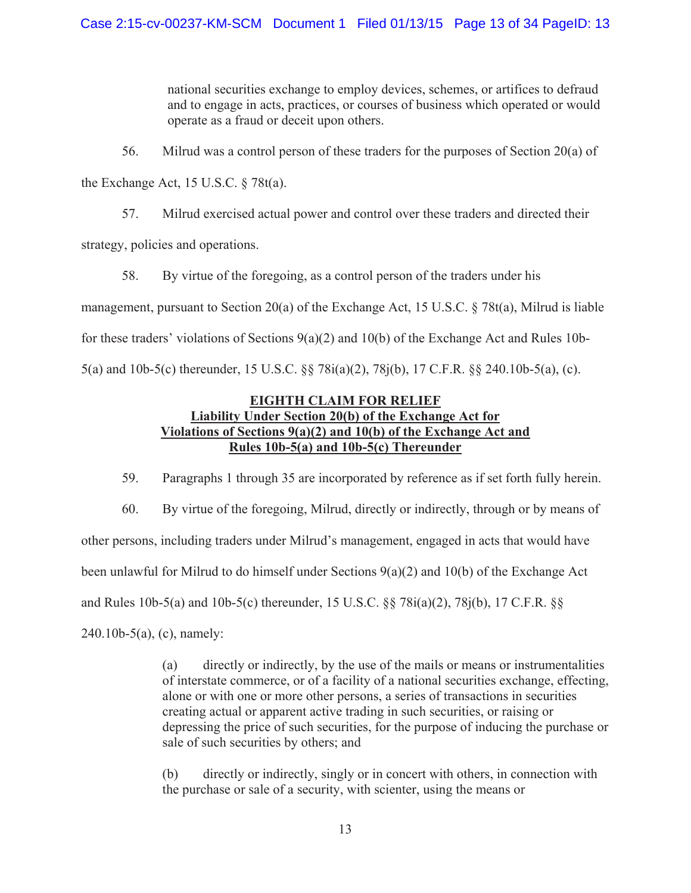national securities exchange to employ devices, schemes, or artifices to defraud and to engage in acts, practices, or courses of business which operated or would operate as a fraud or deceit upon others.

56. Milrud was a control person of these traders for the purposes of Section 20(a) of

the Exchange Act, 15 U.S.C. § 78t(a).

57. Milrud exercised actual power and control over these traders and directed their

strategy, policies and operations.

58. By virtue of the foregoing, as a control person of the traders under his management, pursuant to Section 20(a) of the Exchange Act, 15 U.S.C. § 78t(a), Milrud is liable for these traders' violations of Sections  $9(a)(2)$  and  $10(b)$  of the Exchange Act and Rules 10b-5(a) and 10b-5(c) thereunder, 15 U.S.C. §§ 78i(a)(2), 78j(b), 17 C.F.R. §§ 240.10b-5(a), (c).

# **EIGHTH CLAIM FOR RELIEF Liability Under Section 20(b) of the Exchange Act for Violations of Sections 9(a)(2) and 10(b) of the Exchange Act and Rules 10b-5(a) and 10b-5(c) Thereunder**

59. Paragraphs 1 through 35 are incorporated by reference as if set forth fully herein.

60. By virtue of the foregoing, Milrud, directly or indirectly, through or by means of other persons, including traders under Milrud's management, engaged in acts that would have been unlawful for Milrud to do himself under Sections 9(a)(2) and 10(b) of the Exchange Act and Rules 10b-5(a) and 10b-5(c) thereunder, 15 U.S.C. §§ 78i(a)(2), 78j(b), 17 C.F.R. §§ 240.10b-5(a), (c), namely:

> (a) directly or indirectly, by the use of the mails or means or instrumentalities of interstate commerce, or of a facility of a national securities exchange, effecting, alone or with one or more other persons, a series of transactions in securities creating actual or apparent active trading in such securities, or raising or depressing the price of such securities, for the purpose of inducing the purchase or sale of such securities by others; and

(b) directly or indirectly, singly or in concert with others, in connection with the purchase or sale of a security, with scienter, using the means or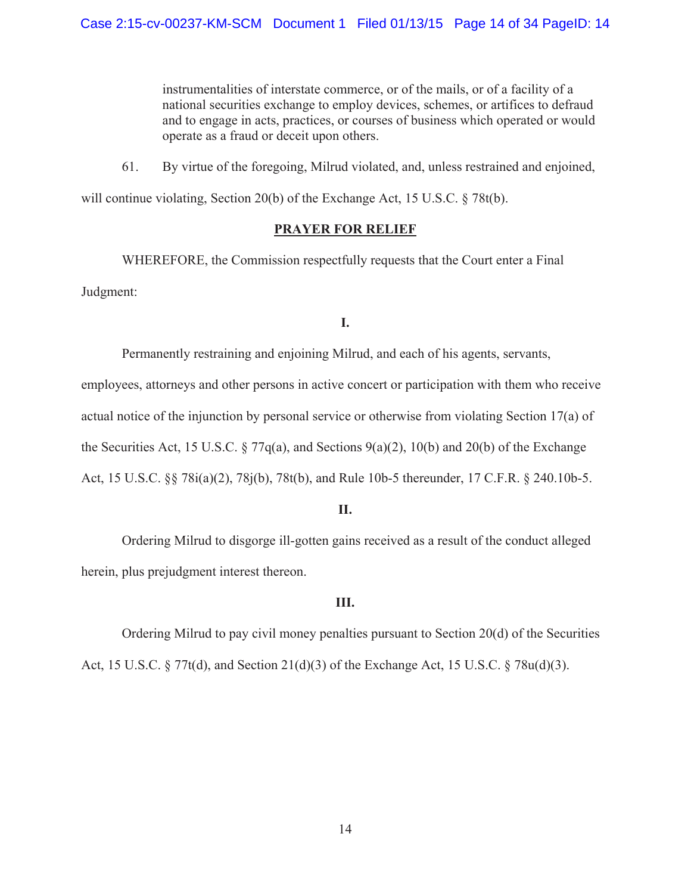instrumentalities of interstate commerce, or of the mails, or of a facility of a national securities exchange to employ devices, schemes, or artifices to defraud and to engage in acts, practices, or courses of business which operated or would operate as a fraud or deceit upon others.

61. By virtue of the foregoing, Milrud violated, and, unless restrained and enjoined,

will continue violating, Section 20(b) of the Exchange Act, 15 U.S.C. § 78t(b).

# **PRAYER FOR RELIEF**

 WHEREFORE, the Commission respectfully requests that the Court enter a Final Judgment:

## **I.**

Permanently restraining and enjoining Milrud, and each of his agents, servants,

employees, attorneys and other persons in active concert or participation with them who receive actual notice of the injunction by personal service or otherwise from violating Section 17(a) of the Securities Act, 15 U.S.C.  $\S 77q(a)$ , and Sections  $9(a)(2)$ , 10(b) and 20(b) of the Exchange Act, 15 U.S.C. §§ 78i(a)(2), 78j(b), 78t(b), and Rule 10b-5 thereunder, 17 C.F.R. § 240.10b-5.

## **II.**

Ordering Milrud to disgorge ill-gotten gains received as a result of the conduct alleged herein, plus prejudgment interest thereon.

## **III.**

Ordering Milrud to pay civil money penalties pursuant to Section 20(d) of the Securities Act, 15 U.S.C. § 77t(d), and Section 21(d)(3) of the Exchange Act, 15 U.S.C. § 78u(d)(3).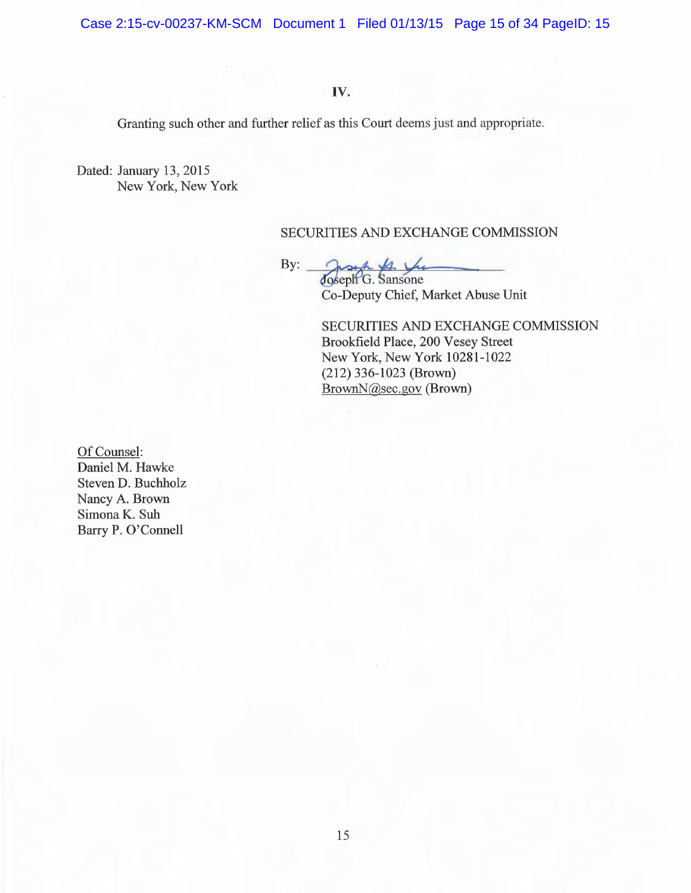Case 2:15-cv-00237-KM-SCM Document 1 Filed 01/13/15 Page 15 of 34 PageID: 15

# IV.

Granting such other and further relief as this Court deems just and appropriate.

Dated: January 13, 2015 New York, New York

## SECURITIES AND EXCHANGE COMMISSION

By:

Joseph & Vio Joseph G. Sansone Co-Deputy Chief, Market Abuse Unit

SECURITIES AND EXCHANGE COMMISSION Brookfield Place, 200 Vesey Street New York, New York 10281-1022  $(212)$  336-1023 (Brown) BrownN@sec.gov (Brown)

Of Counsel: Daniel M. Hawke Steven D. Buchholz Nancy A. Brown Simona K. Suh Barry P. O'Connell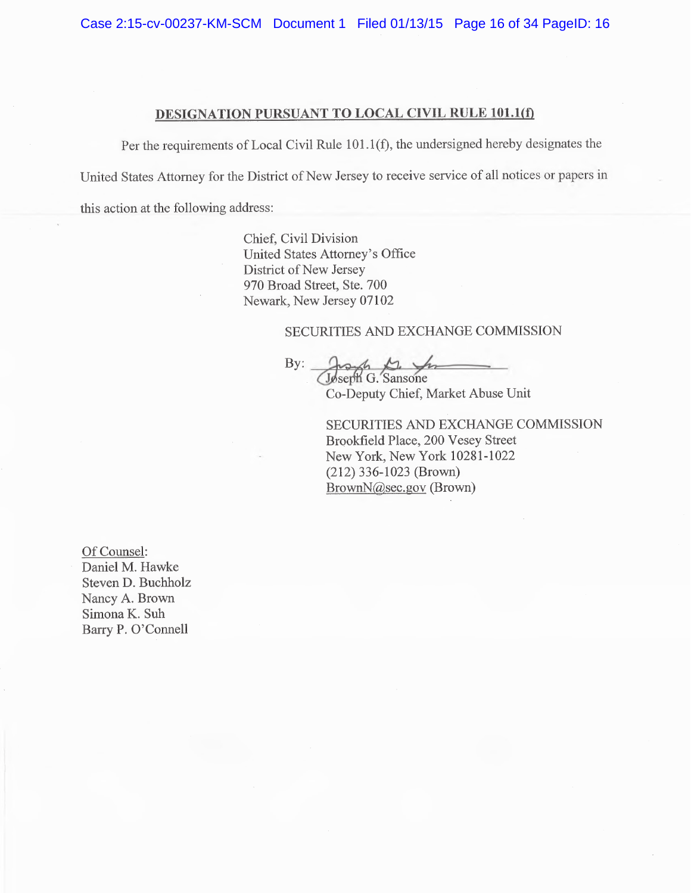Case 2:15-cv-00237-KM-SCM Document 1 Filed 01/13/15 Page 16 of 34 PageID: 16

# DESIGNATION PURSUANT TO LOCAL CIVIL RULE 101.1(f)

Per the requirements of Local Civil Rule 101.1(f), the undersigned hereby designates the

United States Attorney for the District of New Jersey to receive service of all notices or papers in

this action at the following address:

Chief, Civil Division United States Attorney's Office District of New Jersey 970 Broad Street, Ste. 700 Newark, New Jersey 07102

### SECURITIES AND EXCHANGE COMMISSION

By: Joseph G. Sansone

Co-Deputy Chief, Market Abuse Unit

SECURITIES AND EXCHANGE COMMISSION Brookfield Place, 200 Vesey Street New York, New York 10281-1022  $(212)$  336-1023 (Brown) BrownN@sec.gov (Brown)

Of Counsel: Daniel M. Hawke Steven D. Buchholz Nancy A. Brown Simona K. Suh Barry P. O'Connell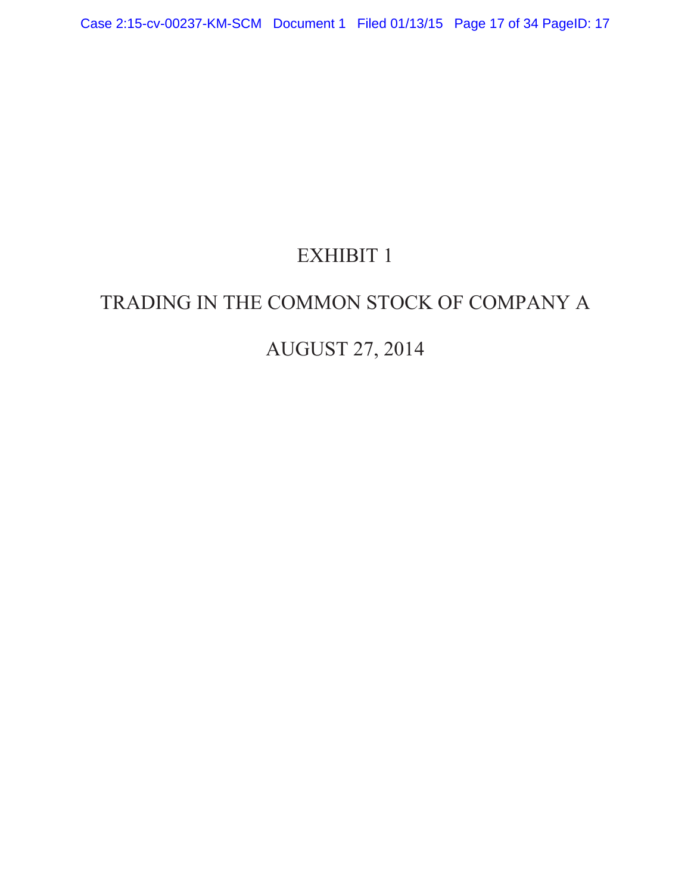# EXHIBIT 1

# TRADING IN THE COMMON STOCK OF COMPANY A

# AUGUST 27, 2014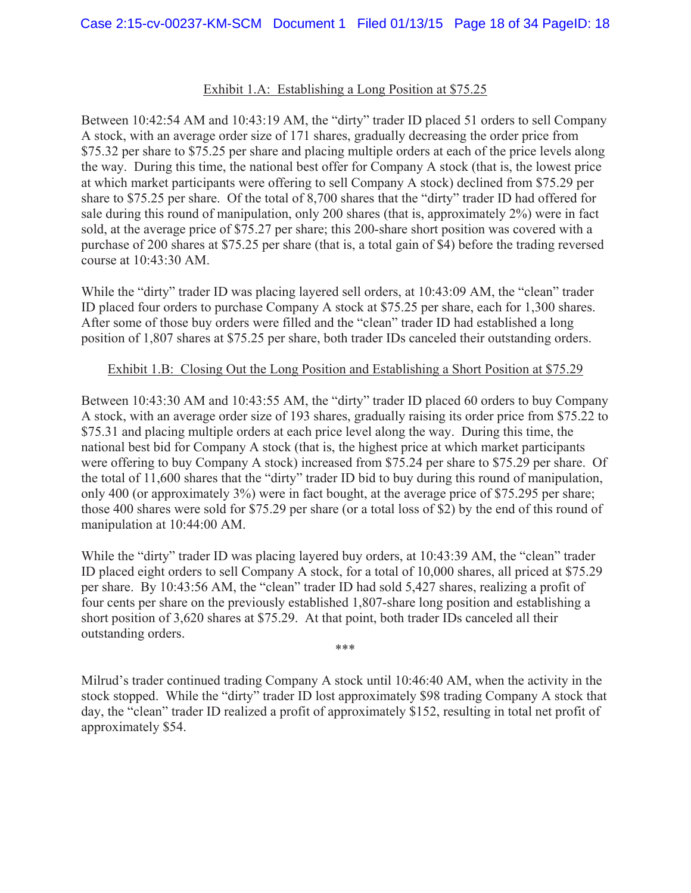## Exhibit 1.A: Establishing a Long Position at \$75.25

Between 10:42:54 AM and 10:43:19 AM, the "dirty" trader ID placed 51 orders to sell Company A stock, with an average order size of 171 shares, gradually decreasing the order price from \$75.32 per share to \$75.25 per share and placing multiple orders at each of the price levels along the way. During this time, the national best offer for Company A stock (that is, the lowest price at which market participants were offering to sell Company A stock) declined from \$75.29 per share to \$75.25 per share. Of the total of 8,700 shares that the "dirty" trader ID had offered for sale during this round of manipulation, only 200 shares (that is, approximately 2%) were in fact sold, at the average price of \$75.27 per share; this 200-share short position was covered with a purchase of 200 shares at \$75.25 per share (that is, a total gain of \$4) before the trading reversed course at 10:43:30 AM.

While the "dirty" trader ID was placing layered sell orders, at 10:43:09 AM, the "clean" trader ID placed four orders to purchase Company A stock at \$75.25 per share, each for 1,300 shares. After some of those buy orders were filled and the "clean" trader ID had established a long position of 1,807 shares at \$75.25 per share, both trader IDs canceled their outstanding orders.

## Exhibit 1.B: Closing Out the Long Position and Establishing a Short Position at \$75.29

Between 10:43:30 AM and 10:43:55 AM, the "dirty" trader ID placed 60 orders to buy Company A stock, with an average order size of 193 shares, gradually raising its order price from \$75.22 to \$75.31 and placing multiple orders at each price level along the way. During this time, the national best bid for Company A stock (that is, the highest price at which market participants were offering to buy Company A stock) increased from \$75.24 per share to \$75.29 per share. Of the total of 11,600 shares that the "dirty" trader ID bid to buy during this round of manipulation, only 400 (or approximately 3%) were in fact bought, at the average price of \$75.295 per share; those 400 shares were sold for \$75.29 per share (or a total loss of \$2) by the end of this round of manipulation at 10:44:00 AM.

While the "dirty" trader ID was placing layered buy orders, at 10:43:39 AM, the "clean" trader ID placed eight orders to sell Company A stock, for a total of 10,000 shares, all priced at \$75.29 per share. By 10:43:56 AM, the "clean" trader ID had sold 5,427 shares, realizing a profit of four cents per share on the previously established 1,807-share long position and establishing a short position of 3,620 shares at \$75.29. At that point, both trader IDs canceled all their outstanding orders.

\*\*\*

Milrud's trader continued trading Company A stock until 10:46:40 AM, when the activity in the stock stopped. While the "dirty" trader ID lost approximately \$98 trading Company A stock that day, the "clean" trader ID realized a profit of approximately \$152, resulting in total net profit of approximately \$54.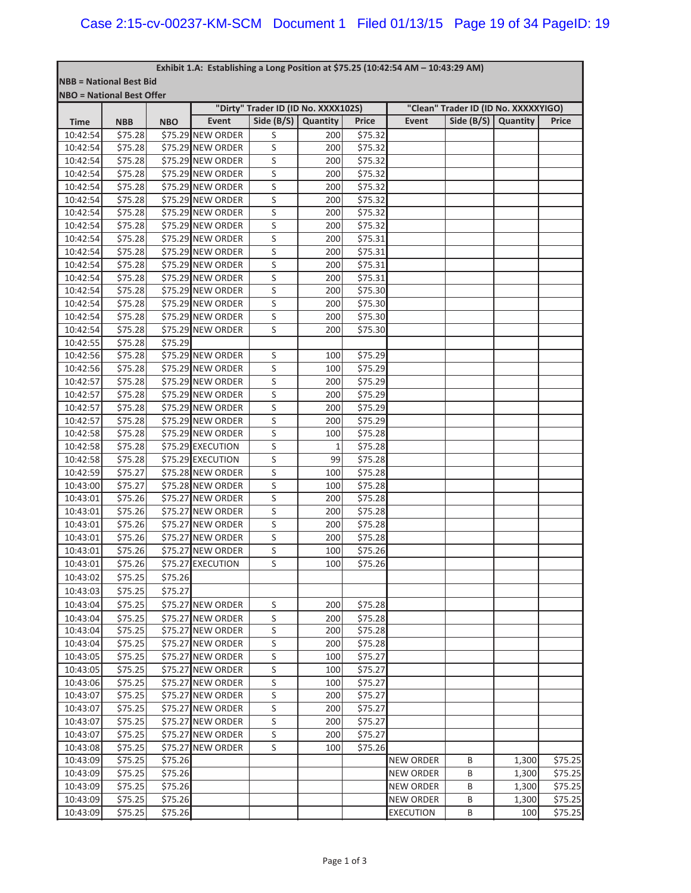#### **Exhibit 1.A:Establishing a Long Position at \$75.25 (10:42:54 AM – 10:43:29 AM)**

|             | <b>NBB = National Best Bid</b><br><b>NBO = National Best Offer</b> |            |                   |                                                     |              |                    |                  |                                      |          |         |  |
|-------------|--------------------------------------------------------------------|------------|-------------------|-----------------------------------------------------|--------------|--------------------|------------------|--------------------------------------|----------|---------|--|
|             |                                                                    |            |                   |                                                     |              |                    |                  | "Clean" Trader ID (ID No. XXXXXYIGO) |          |         |  |
| <b>Time</b> | <b>NBB</b>                                                         | <b>NBO</b> | Event             | "Dirty" Trader ID (ID No. XXXX102S)<br>Side $(B/S)$ | Quantity     | <b>Price</b>       | Event            | Side $(B/S)$                         | Quantity | Price   |  |
| 10:42:54    | \$75.28                                                            |            | \$75.29 NEW ORDER | S                                                   | 200          | \$75.32            |                  |                                      |          |         |  |
| 10:42:54    | \$75.28                                                            |            | \$75.29 NEW ORDER | S                                                   | 200          | \$75.32            |                  |                                      |          |         |  |
| 10:42:54    | \$75.28                                                            |            | \$75.29 NEW ORDER | S                                                   | 200          | \$75.32            |                  |                                      |          |         |  |
| 10:42:54    | \$75.28                                                            |            | \$75.29 NEW ORDER | S                                                   | 200          | \$75.32            |                  |                                      |          |         |  |
| 10:42:54    | \$75.28                                                            |            | \$75.29 NEW ORDER | S                                                   | 200          | \$75.32            |                  |                                      |          |         |  |
| 10:42:54    | \$75.28                                                            |            | \$75.29 NEW ORDER | S                                                   | 200          | \$75.32            |                  |                                      |          |         |  |
|             |                                                                    |            | \$75.29 NEW ORDER | S                                                   |              |                    |                  |                                      |          |         |  |
| 10:42:54    | \$75.28                                                            |            | \$75.29 NEW ORDER |                                                     | 200          | \$75.32            |                  |                                      |          |         |  |
| 10:42:54    | \$75.28                                                            |            |                   | S                                                   | 200          | \$75.32            |                  |                                      |          |         |  |
| 10:42:54    | \$75.28                                                            |            | \$75.29 NEW ORDER | S                                                   | 200          | \$75.31            |                  |                                      |          |         |  |
| 10:42:54    | \$75.28                                                            |            | \$75.29 NEW ORDER | S                                                   | 200          | \$75.31            |                  |                                      |          |         |  |
| 10:42:54    | \$75.28                                                            |            | \$75.29 NEW ORDER | S                                                   | 200          | \$75.31            |                  |                                      |          |         |  |
| 10:42:54    | \$75.28                                                            |            | \$75.29 NEW ORDER | S                                                   | 200          | \$75.31            |                  |                                      |          |         |  |
| 10:42:54    | \$75.28                                                            |            | \$75.29 NEW ORDER | S                                                   | 200          | \$75.30            |                  |                                      |          |         |  |
| 10:42:54    | \$75.28                                                            |            | \$75.29 NEW ORDER | S                                                   | 200          | \$75.30            |                  |                                      |          |         |  |
| 10:42:54    | \$75.28                                                            |            | \$75.29 NEW ORDER | S                                                   | 200          | \$75.30            |                  |                                      |          |         |  |
| 10:42:54    | \$75.28                                                            |            | \$75.29 NEW ORDER | S                                                   | 200          | \$75.30            |                  |                                      |          |         |  |
| 10:42:55    | \$75.28                                                            | \$75.29    |                   |                                                     |              |                    |                  |                                      |          |         |  |
| 10:42:56    | \$75.28                                                            |            | \$75.29 NEW ORDER | S                                                   | 100          | \$75.29            |                  |                                      |          |         |  |
| 10:42:56    | \$75.28                                                            |            | \$75.29 NEW ORDER | S                                                   | 100          | \$75.29            |                  |                                      |          |         |  |
| 10:42:57    | \$75.28                                                            |            | \$75.29 NEW ORDER | S                                                   | 200          | \$75.29            |                  |                                      |          |         |  |
| 10:42:57    | \$75.28                                                            |            | \$75.29 NEW ORDER | S                                                   | 200          | \$75.29            |                  |                                      |          |         |  |
| 10:42:57    | \$75.28                                                            |            | \$75.29 NEW ORDER | S                                                   | 200          | \$75.29            |                  |                                      |          |         |  |
| 10:42:57    | \$75.28                                                            |            | \$75.29 NEW ORDER | S                                                   | 200          | \$75.29            |                  |                                      |          |         |  |
| 10:42:58    | \$75.28                                                            |            | \$75.29 NEW ORDER | S                                                   | 100          | \$75.28            |                  |                                      |          |         |  |
| 10:42:58    | \$75.28                                                            |            | \$75.29 EXECUTION | S                                                   | $\mathbf{1}$ | \$75.28            |                  |                                      |          |         |  |
| 10:42:58    | \$75.28                                                            |            | \$75.29 EXECUTION | S                                                   | 99           | \$75.28            |                  |                                      |          |         |  |
| 10:42:59    | \$75.27                                                            |            | \$75.28 NEW ORDER | S                                                   | 100          | \$75.28            |                  |                                      |          |         |  |
| 10:43:00    | \$75.27                                                            |            | \$75.28 NEW ORDER | S                                                   | 100          | \$75.28            |                  |                                      |          |         |  |
| 10:43:01    | \$75.26                                                            |            | \$75.27 NEW ORDER | S                                                   | 200          | \$75.28            |                  |                                      |          |         |  |
| 10:43:01    | \$75.26                                                            |            | \$75.27 NEW ORDER | S                                                   | 200          | \$75.28            |                  |                                      |          |         |  |
| 10:43:01    | \$75.26                                                            |            | \$75.27 NEW ORDER | S                                                   | 200          | \$75.28            |                  |                                      |          |         |  |
| 10:43:01    | \$75.26                                                            |            | \$75.27 NEW ORDER | S                                                   | 200          | \$75.28            |                  |                                      |          |         |  |
| 10:43:01    | \$75.26                                                            |            | \$75.27 NEW ORDER | S                                                   | 100          | \$75.26            |                  |                                      |          |         |  |
| 10:43:01    | \$75.26                                                            |            | \$75.27 EXECUTION | S                                                   | 100          | \$75.26            |                  |                                      |          |         |  |
| 10:43:02    | \$75.25                                                            | \$75.26    |                   |                                                     |              |                    |                  |                                      |          |         |  |
| 10:43:03    | \$75.25                                                            | \$75.27    |                   |                                                     |              |                    |                  |                                      |          |         |  |
| 10:43:04    | \$75.25                                                            |            | \$75.27 NEW ORDER | S                                                   | 200          | \$75.28            |                  |                                      |          |         |  |
| 10:43:04    | \$75.25                                                            |            | \$75.27 NEW ORDER | S                                                   | 200          | \$75.28            |                  |                                      |          |         |  |
| 10:43:04    | \$75.25                                                            |            | \$75.27 NEW ORDER | $\sf S$                                             | 200          | \$75.28            |                  |                                      |          |         |  |
| 10:43:04    | \$75.25                                                            |            | \$75.27 NEW ORDER | $\sf S$                                             | 200          | \$75.28            |                  |                                      |          |         |  |
| 10:43:05    | \$75.25                                                            |            | \$75.27 NEW ORDER | S                                                   | 100          | \$75.27            |                  |                                      |          |         |  |
| 10:43:05    | \$75.25                                                            |            | \$75.27 NEW ORDER | S                                                   | 100          | \$75.27            |                  |                                      |          |         |  |
| 10:43:06    | \$75.25                                                            |            | \$75.27 NEW ORDER | S                                                   | 100          | \$75.27            |                  |                                      |          |         |  |
| 10:43:07    | \$75.25                                                            |            | \$75.27 NEW ORDER | S                                                   |              | \$75.27            |                  |                                      |          |         |  |
|             |                                                                    |            |                   |                                                     | 200          |                    |                  |                                      |          |         |  |
| 10:43:07    | \$75.25                                                            |            | \$75.27 NEW ORDER | S                                                   | 200          | \$75.27<br>\$75.27 |                  |                                      |          |         |  |
| 10:43:07    | \$75.25                                                            |            | \$75.27 NEW ORDER | S                                                   | 200          |                    |                  |                                      |          |         |  |
| 10:43:07    | \$75.25                                                            |            | \$75.27 NEW ORDER | S                                                   | 200          | \$75.27            |                  |                                      |          |         |  |
| 10:43:08    | \$75.25                                                            |            | \$75.27 NEW ORDER | S                                                   | 100          | \$75.26            |                  |                                      |          |         |  |
| 10:43:09    | \$75.25                                                            | \$75.26    |                   |                                                     |              |                    | <b>NEW ORDER</b> | В                                    | 1,300    | \$75.25 |  |
| 10:43:09    | \$75.25                                                            | \$75.26    |                   |                                                     |              |                    | <b>NEW ORDER</b> | B                                    | 1,300    | \$75.25 |  |
| 10:43:09    | \$75.25                                                            | \$75.26    |                   |                                                     |              |                    | <b>NEW ORDER</b> | B                                    | 1,300    | \$75.25 |  |
| 10:43:09    | \$75.25                                                            | \$75.26    |                   |                                                     |              |                    | <b>NEW ORDER</b> | В                                    | 1,300    | \$75.25 |  |
| 10:43:09    | \$75.25                                                            | \$75.26    |                   |                                                     |              |                    | <b>EXECUTION</b> | B                                    | 100      | \$75.25 |  |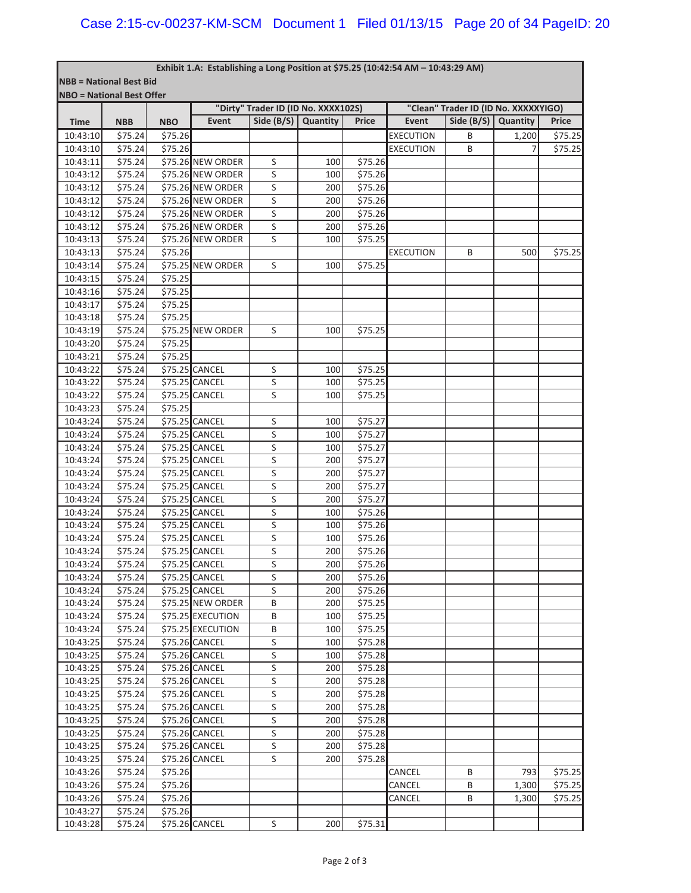#### **Exhibit 1.A:Establishing a Long Position at \$75.25 (10:42:54 AM – 10:43:29 AM)**

| <b>NBB = National Best Bid</b>   |            |            |                   |                                     |          |              |                  |                                      |          |         |
|----------------------------------|------------|------------|-------------------|-------------------------------------|----------|--------------|------------------|--------------------------------------|----------|---------|
| <b>NBO</b> = National Best Offer |            |            |                   |                                     |          |              |                  |                                      |          |         |
|                                  |            |            |                   | "Dirty" Trader ID (ID No. XXXX102S) |          |              |                  | "Clean" Trader ID (ID No. XXXXXYIGO) |          |         |
| <b>Time</b>                      | <b>NBB</b> | <b>NBO</b> | <b>Event</b>      | Side $(B/S)$                        | Quantity | <b>Price</b> | <b>Event</b>     | Side $(B/S)$                         | Quantity | Price   |
| 10:43:10                         | \$75.24    | \$75.26    |                   |                                     |          |              | <b>EXECUTION</b> | B                                    | 1,200    | \$75.25 |
| 10:43:10                         | \$75.24    | \$75.26    |                   |                                     |          |              | <b>EXECUTION</b> | B                                    | 7        | \$75.25 |
| 10:43:11                         | \$75.24    |            | \$75.26 NEW ORDER | S                                   | 100      | \$75.26      |                  |                                      |          |         |
| 10:43:12                         | \$75.24    |            | \$75.26 NEW ORDER | S                                   | 100      | \$75.26      |                  |                                      |          |         |
| 10:43:12                         | \$75.24    |            | \$75.26 NEW ORDER | S                                   | 200      | \$75.26      |                  |                                      |          |         |
| 10:43:12                         | \$75.24    |            | \$75.26 NEW ORDER | S                                   | 200      | \$75.26      |                  |                                      |          |         |
| 10:43:12                         | \$75.24    |            | \$75.26 NEW ORDER | S                                   | 200      | \$75.26      |                  |                                      |          |         |
| 10:43:12                         | \$75.24    |            | \$75.26 NEW ORDER | S                                   | 200      | \$75.26      |                  |                                      |          |         |
| 10:43:13                         | \$75.24    |            | \$75.26 NEW ORDER | S                                   | 100      | \$75.25      |                  |                                      |          |         |
| 10:43:13                         | \$75.24    | \$75.26    |                   |                                     |          |              | <b>EXECUTION</b> | B                                    | 500      | \$75.25 |
| 10:43:14                         | \$75.24    |            | \$75.25 NEW ORDER | S                                   | 100      | \$75.25      |                  |                                      |          |         |
| 10:43:15                         | \$75.24    | \$75.25    |                   |                                     |          |              |                  |                                      |          |         |
| 10:43:16                         | \$75.24    | \$75.25    |                   |                                     |          |              |                  |                                      |          |         |
| 10:43:17                         | \$75.24    | \$75.25    |                   |                                     |          |              |                  |                                      |          |         |
| 10:43:18                         | \$75.24    | \$75.25    |                   |                                     |          |              |                  |                                      |          |         |
| 10:43:19                         | \$75.24    |            | \$75.25 NEW ORDER | S                                   | 100      | \$75.25      |                  |                                      |          |         |
| 10:43:20                         | \$75.24    | \$75.25    |                   |                                     |          |              |                  |                                      |          |         |
| 10:43:21                         | \$75.24    | \$75.25    |                   |                                     |          |              |                  |                                      |          |         |
| 10:43:22                         | \$75.24    |            | \$75.25 CANCEL    | S                                   | 100      | \$75.25      |                  |                                      |          |         |
| 10:43:22                         | \$75.24    |            | \$75.25 CANCEL    | S                                   | 100      | \$75.25      |                  |                                      |          |         |
| 10:43:22                         | \$75.24    |            | \$75.25 CANCEL    | S                                   | 100      | \$75.25      |                  |                                      |          |         |
| 10:43:23                         | \$75.24    | \$75.25    |                   |                                     |          |              |                  |                                      |          |         |
| 10:43:24                         | \$75.24    |            | \$75.25 CANCEL    | S                                   | 100      | \$75.27      |                  |                                      |          |         |
| 10:43:24                         | \$75.24    |            | \$75.25 CANCEL    | S                                   | 100      | \$75.27      |                  |                                      |          |         |
| 10:43:24                         | \$75.24    |            | \$75.25 CANCEL    | S                                   | 100      | \$75.27      |                  |                                      |          |         |
| 10:43:24                         | \$75.24    |            | \$75.25 CANCEL    | S                                   | 200      | \$75.27      |                  |                                      |          |         |
| 10:43:24                         | \$75.24    |            | \$75.25 CANCEL    | S                                   | 200      | \$75.27      |                  |                                      |          |         |
| 10:43:24                         | \$75.24    |            | \$75.25 CANCEL    | S                                   | 200      | \$75.27      |                  |                                      |          |         |
| 10:43:24                         | \$75.24    |            | \$75.25 CANCEL    | S                                   | 200      | \$75.27      |                  |                                      |          |         |
| 10:43:24                         | \$75.24    |            | \$75.25 CANCEL    | S                                   | 100      | \$75.26      |                  |                                      |          |         |
| 10:43:24                         | \$75.24    |            | \$75.25 CANCEL    | S                                   | 100      | \$75.26      |                  |                                      |          |         |
| 10:43:24                         | \$75.24    |            | \$75.25 CANCEL    | S                                   | 100      | \$75.26      |                  |                                      |          |         |
| 10:43:24                         | \$75.24    |            | \$75.25 CANCEL    | S                                   | 200      | \$75.26      |                  |                                      |          |         |
| 10:43:24                         | \$75.24    |            | \$75.25 CANCEL    | S                                   | 200      | \$75.26      |                  |                                      |          |         |
| 10:43:24                         | \$75.24    |            | \$75.25 CANCEL    | S                                   | 200      | \$75.26      |                  |                                      |          |         |
| 10:43:24                         | \$75.24    |            | \$75.25 CANCEL    | S                                   | 200      | \$75.26      |                  |                                      |          |         |
| 10:43:24                         | \$75.24    |            | \$75.25 NEW ORDER | B                                   | 200      | \$75.25      |                  |                                      |          |         |
| 10:43:24                         | \$75.24    |            | \$75.25 EXECUTION | B                                   | 100      | \$75.25      |                  |                                      |          |         |
| 10:43:24                         | \$75.24    |            | \$75.25 EXECUTION | B                                   | 100      | \$75.25      |                  |                                      |          |         |
| 10:43:25                         | \$75.24    |            | \$75.26 CANCEL    | $\sf S$                             | 100      | \$75.28      |                  |                                      |          |         |
| 10:43:25                         | \$75.24    |            | \$75.26 CANCEL    | $\sf S$                             | 100      | \$75.28      |                  |                                      |          |         |
| 10:43:25                         | \$75.24    |            | \$75.26 CANCEL    | $\sf S$                             | 200      | \$75.28      |                  |                                      |          |         |
| 10:43:25                         | \$75.24    |            | \$75.26 CANCEL    | $\sf S$                             | 200      | \$75.28      |                  |                                      |          |         |
| 10:43:25                         | \$75.24    |            | \$75.26 CANCEL    | S                                   | 200      | \$75.28      |                  |                                      |          |         |
| 10:43:25                         | \$75.24    |            | \$75.26 CANCEL    | S                                   | 200      | \$75.28      |                  |                                      |          |         |
| 10:43:25                         | \$75.24    |            | \$75.26 CANCEL    | $\sf S$                             | 200      | \$75.28      |                  |                                      |          |         |
| 10:43:25                         | \$75.24    |            | \$75.26 CANCEL    | S                                   | 200      | \$75.28      |                  |                                      |          |         |
| 10:43:25                         | \$75.24    |            | \$75.26 CANCEL    | S                                   | 200      | \$75.28      |                  |                                      |          |         |
| 10:43:25                         | \$75.24    |            | \$75.26 CANCEL    | S                                   | 200      | \$75.28      |                  |                                      |          |         |
| 10:43:26                         | \$75.24    | \$75.26    |                   |                                     |          |              | CANCEL           | B                                    | 793      | \$75.25 |
| 10:43:26                         | \$75.24    | \$75.26    |                   |                                     |          |              | CANCEL           | B                                    | 1,300    | \$75.25 |
| 10:43:26                         | \$75.24    | \$75.26    |                   |                                     |          |              | CANCEL           | B                                    | 1,300    | \$75.25 |
| 10:43:27                         | \$75.24    | \$75.26    |                   |                                     |          |              |                  |                                      |          |         |
|                                  |            |            | \$75.26 CANCEL    | $\sf S$                             |          | \$75.31      |                  |                                      |          |         |
| 10:43:28                         | \$75.24    |            |                   |                                     | 200      |              |                  |                                      |          |         |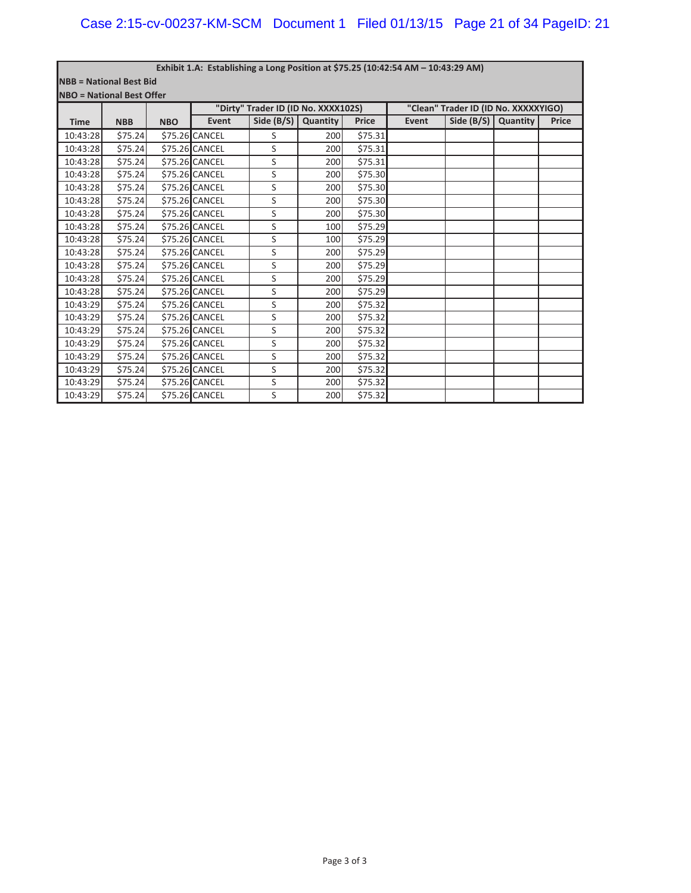|                                  | Exhibit 1.A: Establishing a Long Position at \$75.25 (10:42:54 AM - 10:43:29 AM) |            |                |                                     |          |              |       |                                      |          |              |  |  |
|----------------------------------|----------------------------------------------------------------------------------|------------|----------------|-------------------------------------|----------|--------------|-------|--------------------------------------|----------|--------------|--|--|
| <b>NBB = National Best Bid</b>   |                                                                                  |            |                |                                     |          |              |       |                                      |          |              |  |  |
| <b>NBO</b> = National Best Offer |                                                                                  |            |                |                                     |          |              |       |                                      |          |              |  |  |
|                                  |                                                                                  |            |                | "Dirty" Trader ID (ID No. XXXX102S) |          |              |       | "Clean" Trader ID (ID No. XXXXXYIGO) |          |              |  |  |
| <b>Time</b>                      | <b>NBB</b>                                                                       | <b>NBO</b> | <b>Event</b>   | Side $(B/S)$                        | Quantity | <b>Price</b> | Event | Side $(B/S)$                         | Quantity | <b>Price</b> |  |  |
| 10:43:28                         | \$75.24                                                                          |            | \$75.26 CANCEL | S                                   | 200      | \$75.31      |       |                                      |          |              |  |  |
| 10:43:28                         | \$75.24                                                                          |            | \$75.26 CANCEL | S                                   | 200      | \$75.31      |       |                                      |          |              |  |  |
| 10:43:28                         | \$75.24                                                                          |            | \$75.26 CANCEL | S                                   | 200      | \$75.31      |       |                                      |          |              |  |  |
| 10:43:28                         | \$75.24                                                                          |            | \$75.26 CANCEL | S                                   | 200      | \$75.30      |       |                                      |          |              |  |  |
| 10:43:28                         | \$75.24                                                                          |            | \$75.26 CANCEL | S                                   | 200      | \$75.30      |       |                                      |          |              |  |  |
| 10:43:28                         | \$75.24                                                                          |            | \$75.26 CANCEL | S                                   | 200      | \$75.30      |       |                                      |          |              |  |  |
| 10:43:28                         | \$75.24                                                                          |            | \$75.26 CANCEL | S                                   | 200      | \$75.30      |       |                                      |          |              |  |  |
| 10:43:28                         | \$75.24                                                                          |            | \$75.26 CANCEL | S                                   | 100      | \$75.29      |       |                                      |          |              |  |  |
| 10:43:28                         | \$75.24                                                                          |            | \$75.26 CANCEL | S                                   | 100      | \$75.29      |       |                                      |          |              |  |  |
| 10:43:28                         | \$75.24                                                                          |            | \$75.26 CANCEL | S                                   | 200      | \$75.29      |       |                                      |          |              |  |  |
| 10:43:28                         | \$75.24                                                                          |            | \$75.26 CANCEL | S                                   | 200      | \$75.29      |       |                                      |          |              |  |  |
| 10:43:28                         | \$75.24                                                                          |            | \$75.26 CANCEL | S                                   | 200      | \$75.29      |       |                                      |          |              |  |  |
| 10:43:28                         | \$75.24                                                                          |            | \$75.26 CANCEL | S                                   | 200      | \$75.29      |       |                                      |          |              |  |  |
| 10:43:29                         | \$75.24                                                                          |            | \$75.26 CANCEL | S                                   | 200      | \$75.32      |       |                                      |          |              |  |  |
| 10:43:29                         | \$75.24                                                                          |            | \$75.26 CANCEL | S                                   | 200      | \$75.32      |       |                                      |          |              |  |  |
| 10:43:29                         | \$75.24                                                                          |            | \$75.26 CANCEL | S                                   | 200      | \$75.32      |       |                                      |          |              |  |  |
| 10:43:29                         | \$75.24                                                                          |            | \$75.26 CANCEL | S                                   | 200      | \$75.32      |       |                                      |          |              |  |  |
| 10:43:29                         | \$75.24                                                                          |            | \$75.26 CANCEL | S                                   | 200      | \$75.32      |       |                                      |          |              |  |  |
| 10:43:29                         | \$75.24                                                                          |            | \$75.26 CANCEL | S                                   | 200      | \$75.32      |       |                                      |          |              |  |  |
| 10:43:29                         | \$75.24                                                                          |            | \$75.26 CANCEL | S                                   | 200      | \$75.32      |       |                                      |          |              |  |  |
| 10:43:29                         | \$75.24                                                                          |            | \$75.26 CANCEL | S                                   | 200      | \$75.32      |       |                                      |          |              |  |  |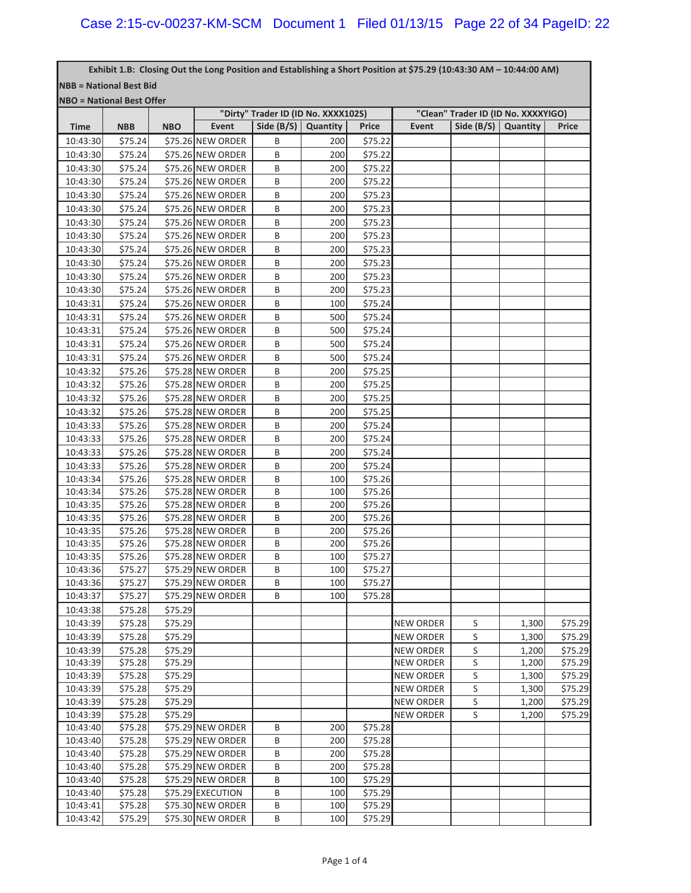г

|                                |                                  |            | Exhibit 1.B: Closing Out the Long Position and Establishing a Short Position at \$75.29 (10:43:30 AM - 10:44:00 AM) |                       |                                     |              |                  |                                     |          |              |
|--------------------------------|----------------------------------|------------|---------------------------------------------------------------------------------------------------------------------|-----------------------|-------------------------------------|--------------|------------------|-------------------------------------|----------|--------------|
| <b>NBB = National Best Bid</b> |                                  |            |                                                                                                                     |                       |                                     |              |                  |                                     |          |              |
|                                | <b>NBO</b> = National Best Offer |            |                                                                                                                     |                       |                                     |              |                  |                                     |          |              |
|                                |                                  |            |                                                                                                                     |                       | "Dirty" Trader ID (ID No. XXXX102S) |              |                  | "Clean" Trader ID (ID No. XXXXYIGO) |          |              |
| <b>Time</b>                    | <b>NBB</b>                       | <b>NBO</b> | Event                                                                                                               | Side $(B/S)$ Quantity |                                     | <b>Price</b> | Event            | Side $(B/S)$                        | Quantity | <b>Price</b> |
| 10:43:30                       | \$75.24                          |            | \$75.26 NEW ORDER                                                                                                   | B                     | 200                                 | \$75.22      |                  |                                     |          |              |
| 10:43:30                       | \$75.24                          |            | \$75.26 NEW ORDER                                                                                                   | B                     | 200                                 | \$75.22      |                  |                                     |          |              |
| 10:43:30                       | \$75.24                          |            | \$75.26 NEW ORDER                                                                                                   | B                     | 200                                 | \$75.22      |                  |                                     |          |              |
| 10:43:30                       | \$75.24                          |            | \$75.26 NEW ORDER                                                                                                   | В                     | 200                                 | \$75.22      |                  |                                     |          |              |
| 10:43:30                       | \$75.24                          |            | \$75.26 NEW ORDER                                                                                                   | В                     | 200                                 | \$75.23      |                  |                                     |          |              |
| 10:43:30                       | \$75.24                          |            | \$75.26 NEW ORDER                                                                                                   | В                     | 200                                 | \$75.23      |                  |                                     |          |              |
| 10:43:30                       | \$75.24                          |            | \$75.26 NEW ORDER                                                                                                   | В                     | 200                                 | \$75.23      |                  |                                     |          |              |
| 10:43:30                       | \$75.24                          |            | \$75.26 NEW ORDER                                                                                                   | В                     | 200                                 | \$75.23      |                  |                                     |          |              |
| 10:43:30                       | \$75.24                          |            | \$75.26 NEW ORDER                                                                                                   | В                     | 200                                 | \$75.23      |                  |                                     |          |              |
| 10:43:30                       | \$75.24                          |            | \$75.26 NEW ORDER                                                                                                   | B                     | 200                                 | \$75.23      |                  |                                     |          |              |
| 10:43:30                       | \$75.24                          |            | \$75.26 NEW ORDER                                                                                                   | B                     | 200                                 | \$75.23      |                  |                                     |          |              |
| 10:43:30                       | \$75.24                          |            | \$75.26 NEW ORDER                                                                                                   | B                     | 200                                 | \$75.23      |                  |                                     |          |              |
| 10:43:31                       | \$75.24                          |            | \$75.26 NEW ORDER                                                                                                   | B                     | 100                                 | \$75.24      |                  |                                     |          |              |
| 10:43:31                       | \$75.24                          |            | \$75.26 NEW ORDER                                                                                                   | B                     | 500                                 | \$75.24      |                  |                                     |          |              |
| 10:43:31                       | \$75.24                          |            | \$75.26 NEW ORDER                                                                                                   | B                     | 500                                 | \$75.24      |                  |                                     |          |              |
| 10:43:31                       | \$75.24                          |            | \$75.26 NEW ORDER                                                                                                   | B                     | 500                                 | \$75.24      |                  |                                     |          |              |
| 10:43:31                       | \$75.24                          |            | \$75.26 NEW ORDER                                                                                                   | B                     | 500                                 | \$75.24      |                  |                                     |          |              |
| 10:43:32                       | \$75.26                          |            | \$75.28 NEW ORDER                                                                                                   | B                     | 200                                 | \$75.25      |                  |                                     |          |              |
| 10:43:32                       | \$75.26                          |            | \$75.28 NEW ORDER                                                                                                   | B                     | 200                                 | \$75.25      |                  |                                     |          |              |
| 10:43:32                       | \$75.26                          |            | \$75.28 NEW ORDER                                                                                                   | B                     | 200                                 | \$75.25      |                  |                                     |          |              |
| 10:43:32                       | \$75.26                          |            | \$75.28 NEW ORDER                                                                                                   | B                     | 200                                 | \$75.25      |                  |                                     |          |              |
| 10:43:33                       | \$75.26                          |            | \$75.28 NEW ORDER                                                                                                   | B                     | 200                                 | \$75.24      |                  |                                     |          |              |
| 10:43:33                       | \$75.26                          |            | \$75.28 NEW ORDER                                                                                                   | B                     | 200                                 | \$75.24      |                  |                                     |          |              |
| 10:43:33                       | \$75.26                          |            | \$75.28 NEW ORDER                                                                                                   | B                     | 200                                 | \$75.24      |                  |                                     |          |              |
| 10:43:33                       | \$75.26                          |            | \$75.28 NEW ORDER                                                                                                   | B                     | 200                                 | \$75.24      |                  |                                     |          |              |
| 10:43:34                       | \$75.26                          |            | \$75.28 NEW ORDER                                                                                                   | B                     | 100                                 | \$75.26      |                  |                                     |          |              |
| 10:43:34                       | \$75.26                          |            | \$75.28 NEW ORDER                                                                                                   | B                     | 100                                 | \$75.26      |                  |                                     |          |              |
| 10:43:35                       | \$75.26                          |            | \$75.28 NEW ORDER                                                                                                   | B                     | 200                                 | \$75.26      |                  |                                     |          |              |
| 10:43:35                       | \$75.26                          |            | \$75.28 NEW ORDER                                                                                                   | B                     | 200                                 | \$75.26      |                  |                                     |          |              |
| 10:43:35                       | \$75.26                          |            | \$75.28 NEW ORDER                                                                                                   | B                     | 200                                 | \$75.26      |                  |                                     |          |              |
| 10:43:35                       | \$75.26                          |            | \$75.28 NEW ORDER                                                                                                   | B                     | 200                                 | \$75.26      |                  |                                     |          |              |
| 10:43:35                       | \$75.26                          |            | \$75.28 NEW ORDER                                                                                                   | B                     | 100                                 | \$75.27      |                  |                                     |          |              |
| 10:43:36                       | \$75.27                          |            | \$75.29 NEW ORDER                                                                                                   | B                     | 100                                 | \$75.27      |                  |                                     |          |              |
| 10:43:36                       | \$75.27                          |            | \$75.29 NEW ORDER                                                                                                   | B                     | 100                                 | \$75.27      |                  |                                     |          |              |
| 10:43:37                       | \$75.27                          |            | \$75.29 NEW ORDER                                                                                                   | B                     | 100                                 | \$75.28      |                  |                                     |          |              |
| 10:43:38                       | \$75.28                          | \$75.29    |                                                                                                                     |                       |                                     |              |                  |                                     |          |              |
| 10:43:39                       | \$75.28                          | \$75.29    |                                                                                                                     |                       |                                     |              | <b>NEW ORDER</b> | S                                   | 1,300    | \$75.29      |
| 10:43:39                       | \$75.28                          | \$75.29    |                                                                                                                     |                       |                                     |              | <b>NEW ORDER</b> | S                                   | 1,300    | \$75.29      |
| 10:43:39                       | \$75.28                          | \$75.29    |                                                                                                                     |                       |                                     |              | <b>NEW ORDER</b> | S                                   | 1,200    | \$75.29      |
| 10:43:39                       | \$75.28                          | \$75.29    |                                                                                                                     |                       |                                     |              | <b>NEW ORDER</b> | S                                   | 1,200    | \$75.29      |
| 10:43:39                       | \$75.28                          | \$75.29    |                                                                                                                     |                       |                                     |              | NEW ORDER        | S                                   | 1,300    | \$75.29      |
| 10:43:39                       | \$75.28                          | \$75.29    |                                                                                                                     |                       |                                     |              | <b>NEW ORDER</b> | S                                   | 1,300    | \$75.29      |
| 10:43:39                       | \$75.28                          | \$75.29    |                                                                                                                     |                       |                                     |              | <b>NEW ORDER</b> | S                                   | 1,200    | \$75.29      |
| 10:43:39                       | \$75.28                          | \$75.29    |                                                                                                                     |                       |                                     |              | <b>NEW ORDER</b> | S                                   | 1,200    | \$75.29      |
| 10:43:40                       | \$75.28                          |            | \$75.29 NEW ORDER                                                                                                   | B                     | 200                                 | \$75.28      |                  |                                     |          |              |
| 10:43:40                       | \$75.28                          |            | \$75.29 NEW ORDER                                                                                                   | B                     | 200                                 | \$75.28      |                  |                                     |          |              |
| 10:43:40                       | \$75.28                          |            | \$75.29 NEW ORDER                                                                                                   | В                     | 200                                 | \$75.28      |                  |                                     |          |              |
| 10:43:40                       | \$75.28                          |            | \$75.29 NEW ORDER                                                                                                   | В                     | 200                                 | \$75.28      |                  |                                     |          |              |
| 10:43:40                       | \$75.28                          |            | \$75.29 NEW ORDER                                                                                                   | В                     | 100                                 | \$75.29      |                  |                                     |          |              |
| 10:43:40                       | \$75.28                          |            | \$75.29 EXECUTION                                                                                                   | B                     | 100                                 | \$75.29      |                  |                                     |          |              |
| 10:43:41                       | \$75.28                          |            | \$75.30 NEW ORDER                                                                                                   | В                     | 100                                 | \$75.29      |                  |                                     |          |              |
| 10:43:42                       | \$75.29                          |            | \$75.30 NEW ORDER                                                                                                   | В                     | 100                                 | \$75.29      |                  |                                     |          |              |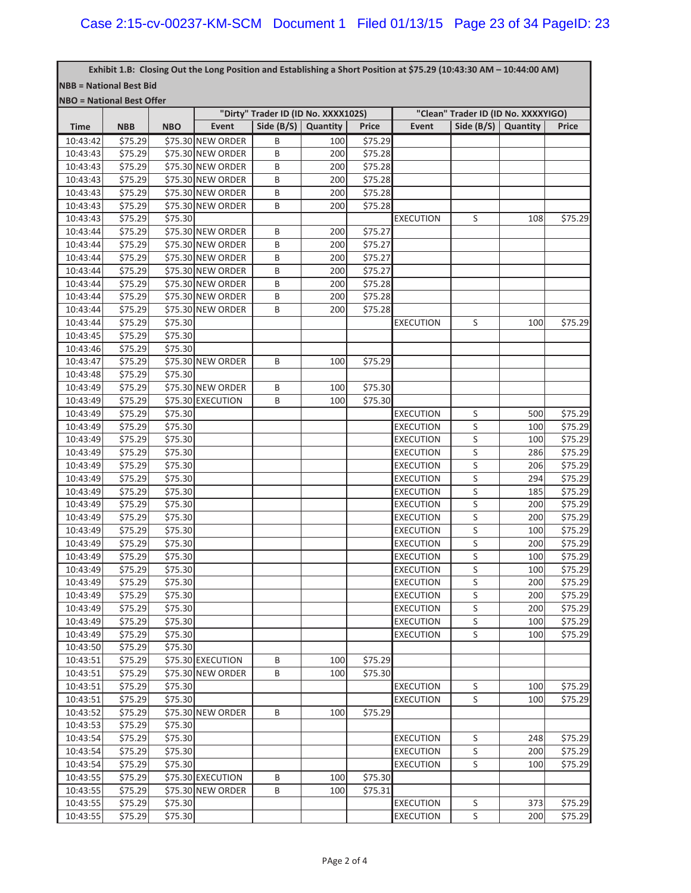**NBB = National Best Bid** Exhibit 1.B: Closing Out the Long Position and Establishing a Short Position at \$75.29 (10:43:30 AM - 10:44:00 AM)

| . |                                   |  |
|---|-----------------------------------|--|
|   | <b>INBO = National Best Offer</b> |  |

|             |            |            |                   | "Dirty" Trader ID (ID No. XXXX102S) |          |              | "Clean" Trader ID (ID No. XXXXYIGO) |                       |     |              |
|-------------|------------|------------|-------------------|-------------------------------------|----------|--------------|-------------------------------------|-----------------------|-----|--------------|
| <b>Time</b> | <b>NBB</b> | <b>NBO</b> | Event             | Side (B/S)                          | Quantity | <b>Price</b> | Event                               | Side $(B/S)$ Quantity |     | <b>Price</b> |
| 10:43:42    | \$75.29    |            | \$75.30 NEW ORDER | B                                   | 100      | \$75.29      |                                     |                       |     |              |
| 10:43:43    | \$75.29    |            | \$75.30 NEW ORDER | B                                   | 200      | \$75.28      |                                     |                       |     |              |
| 10:43:43    | \$75.29    |            | \$75.30 NEW ORDER | B                                   | 200      | \$75.28      |                                     |                       |     |              |
| 10:43:43    | \$75.29    |            | \$75.30 NEW ORDER | B                                   | 200      | \$75.28      |                                     |                       |     |              |
| 10:43:43    | \$75.29    |            | \$75.30 NEW ORDER | B                                   | 200      | \$75.28      |                                     |                       |     |              |
| 10:43:43    | \$75.29    |            | \$75.30 NEW ORDER | B                                   | 200      | \$75.28      |                                     |                       |     |              |
| 10:43:43    | \$75.29    | \$75.30    |                   |                                     |          |              | <b>EXECUTION</b>                    | S                     | 108 | \$75.29      |
| 10:43:44    | \$75.29    |            | \$75.30 NEW ORDER | B                                   | 200      | \$75.27      |                                     |                       |     |              |
| 10:43:44    | \$75.29    |            | \$75.30 NEW ORDER | B                                   | 200      | \$75.27      |                                     |                       |     |              |
| 10:43:44    | \$75.29    |            | \$75.30 NEW ORDER | B                                   | 200      | \$75.27      |                                     |                       |     |              |
| 10:43:44    | \$75.29    |            | \$75.30 NEW ORDER | B                                   | 200      | \$75.27      |                                     |                       |     |              |
| 10:43:44    | \$75.29    |            | \$75.30 NEW ORDER | B                                   | 200      | \$75.28      |                                     |                       |     |              |
| 10:43:44    | \$75.29    |            | \$75.30 NEW ORDER | B                                   | 200      | \$75.28      |                                     |                       |     |              |
| 10:43:44    | \$75.29    |            | \$75.30 NEW ORDER | B                                   | 200      | \$75.28      |                                     |                       |     |              |
| 10:43:44    | \$75.29    | \$75.30    |                   |                                     |          |              | <b>EXECUTION</b>                    | S                     | 100 | \$75.29      |
| 10:43:45    | \$75.29    | \$75.30    |                   |                                     |          |              |                                     |                       |     |              |
| 10:43:46    | \$75.29    | \$75.30    |                   |                                     |          |              |                                     |                       |     |              |
| 10:43:47    | \$75.29    |            | \$75.30 NEW ORDER | B                                   | 100      | \$75.29      |                                     |                       |     |              |
| 10:43:48    | \$75.29    | \$75.30    |                   |                                     |          |              |                                     |                       |     |              |
| 10:43:49    | \$75.29    |            | \$75.30 NEW ORDER | B                                   | 100      | \$75.30      |                                     |                       |     |              |
| 10:43:49    | \$75.29    |            | \$75.30 EXECUTION | B                                   | 100      | \$75.30      |                                     |                       |     |              |
| 10:43:49    | \$75.29    | \$75.30    |                   |                                     |          |              | <b>EXECUTION</b>                    | S                     | 500 | \$75.29      |
| 10:43:49    | \$75.29    | \$75.30    |                   |                                     |          |              | <b>EXECUTION</b>                    | $\sf S$               | 100 | \$75.29      |
| 10:43:49    | \$75.29    | \$75.30    |                   |                                     |          |              | <b>EXECUTION</b>                    | S                     | 100 | \$75.29      |
| 10:43:49    | \$75.29    | \$75.30    |                   |                                     |          |              | <b>EXECUTION</b>                    | S                     | 286 | \$75.29      |
| 10:43:49    | \$75.29    | \$75.30    |                   |                                     |          |              | <b>EXECUTION</b>                    | $\sf S$               | 206 | \$75.29      |
| 10:43:49    | \$75.29    | \$75.30    |                   |                                     |          |              | <b>EXECUTION</b>                    | S                     | 294 | \$75.29      |
| 10:43:49    | \$75.29    | \$75.30    |                   |                                     |          |              | <b>EXECUTION</b>                    | S                     | 185 | \$75.29      |
| 10:43:49    | \$75.29    | \$75.30    |                   |                                     |          |              | <b>EXECUTION</b>                    | S                     | 200 | \$75.29      |
| 10:43:49    | \$75.29    | \$75.30    |                   |                                     |          |              | <b>EXECUTION</b>                    | S                     | 200 | \$75.29      |
| 10:43:49    | \$75.29    | \$75.30    |                   |                                     |          |              | <b>EXECUTION</b>                    | S                     | 100 | \$75.29      |
| 10:43:49    | \$75.29    | \$75.30    |                   |                                     |          |              | <b>EXECUTION</b>                    | S                     | 200 | \$75.29      |
| 10:43:49    | \$75.29    | \$75.30    |                   |                                     |          |              | <b>EXECUTION</b>                    | S                     | 100 | \$75.29      |
| 10:43:49    | \$75.29    | \$75.30    |                   |                                     |          |              | <b>EXECUTION</b>                    | S                     | 100 | \$75.29      |
| 10:43:49    | \$75.29    | \$75.30    |                   |                                     |          |              | <b>EXECUTION</b>                    | S                     | 200 | \$75.29      |
| 10:43:49    | \$75.29    | \$75.30    |                   |                                     |          |              | <b>EXECUTION</b>                    | S                     | 200 | \$75.29      |
| 10:43:49    | \$75.29    | 575.30     |                   |                                     |          |              | <b>EXECUTION</b>                    | S                     | 200 | \$75.29      |
| 10:43:49    | \$75.29    | \$75.30    |                   |                                     |          |              | <b>EXECUTION</b>                    | S                     | 100 | \$75.29      |
| 10:43:49    | \$75.29    | \$75.30    |                   |                                     |          |              | <b>EXECUTION</b>                    | S                     | 100 | \$75.29      |
| 10:43:50    | \$75.29    | \$75.30    |                   |                                     |          |              |                                     |                       |     |              |
| 10:43:51    | \$75.29    |            | \$75.30 EXECUTION | B                                   | 100      | \$75.29      |                                     |                       |     |              |
| 10:43:51    | \$75.29    |            | \$75.30 NEW ORDER | B                                   | 100      | \$75.30      |                                     |                       |     |              |
| 10:43:51    | \$75.29    | \$75.30    |                   |                                     |          |              | <b>EXECUTION</b>                    | S                     | 100 | \$75.29      |
| 10:43:51    | \$75.29    | \$75.30    |                   |                                     |          |              | <b>EXECUTION</b>                    | S                     | 100 | \$75.29      |
| 10:43:52    | \$75.29    |            | \$75.30 NEW ORDER | B                                   | 100      | \$75.29      |                                     |                       |     |              |
| 10:43:53    | \$75.29    | \$75.30    |                   |                                     |          |              |                                     |                       |     |              |
| 10:43:54    | \$75.29    | \$75.30    |                   |                                     |          |              | <b>EXECUTION</b>                    | S                     | 248 | \$75.29      |
| 10:43:54    | \$75.29    | \$75.30    |                   |                                     |          |              | <b>EXECUTION</b>                    | S                     | 200 | \$75.29      |
| 10:43:54    | \$75.29    | \$75.30    |                   |                                     |          |              | <b>EXECUTION</b>                    | S                     | 100 | \$75.29      |
| 10:43:55    | \$75.29    |            | \$75.30 EXECUTION | B                                   | 100      | \$75.30      |                                     |                       |     |              |
| 10:43:55    | \$75.29    |            | \$75.30 NEW ORDER | B                                   | 100      | \$75.31      |                                     |                       |     |              |
| 10:43:55    | \$75.29    | \$75.30    |                   |                                     |          |              | <b>EXECUTION</b>                    | S                     | 373 | \$75.29      |
| 10:43:55    | \$75.29    | \$75.30    |                   |                                     |          |              | <b>EXECUTION</b>                    | S                     | 200 | \$75.29      |
|             |            |            |                   |                                     |          |              |                                     |                       |     |              |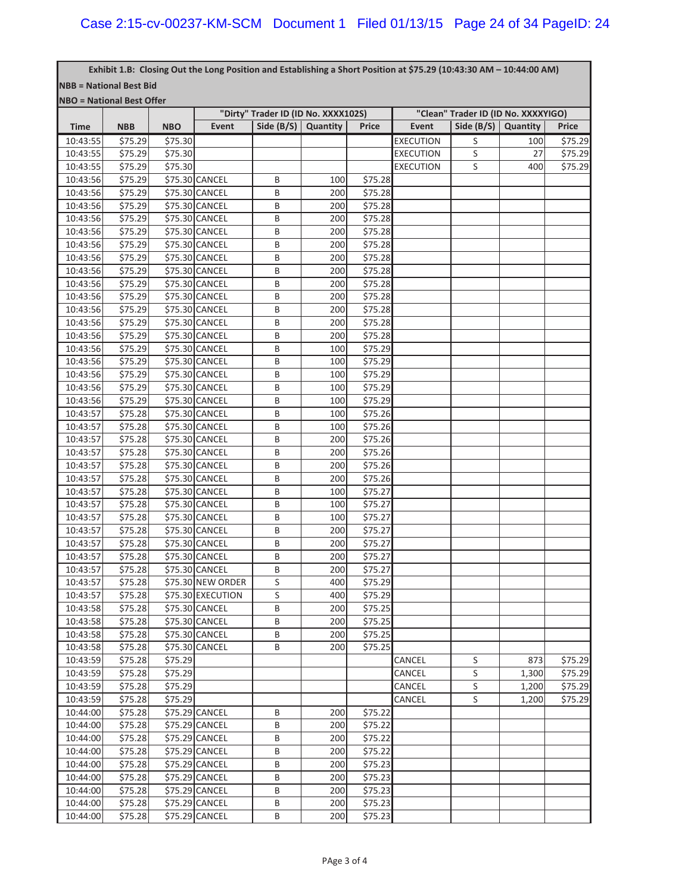| Exhibit 1.B: Closing Out the Long Position and Establishing a Short Position at \$75.29 (10:43:30 AM - 10:44:00 AM) |
|---------------------------------------------------------------------------------------------------------------------|
| <b>NBB = National Best Bid</b>                                                                                      |

**NBO = National Best Offer**

|             |            |            |                   | "Dirty" Trader ID (ID No. XXXX102S) |          |              | "Clean" Trader ID (ID No. XXXXYIGO) |                       |       |              |  |  |
|-------------|------------|------------|-------------------|-------------------------------------|----------|--------------|-------------------------------------|-----------------------|-------|--------------|--|--|
| <b>Time</b> | <b>NBB</b> | <b>NBO</b> | <b>Event</b>      | Side $(B/S)$                        | Quantity | <b>Price</b> | Event                               | Side $(B/S)$ Quantity |       | <b>Price</b> |  |  |
| 10:43:55    | \$75.29    | \$75.30    |                   |                                     |          |              | <b>EXECUTION</b>                    | S                     | 100   | \$75.29      |  |  |
| 10:43:55    | \$75.29    | \$75.30    |                   |                                     |          |              | <b>EXECUTION</b>                    | S                     | 27    | \$75.29      |  |  |
| 10:43:55    | \$75.29    | \$75.30    |                   |                                     |          |              | <b>EXECUTION</b>                    | S                     | 400   | \$75.29      |  |  |
| 10:43:56    | \$75.29    |            | \$75.30 CANCEL    | B                                   | 100      | \$75.28      |                                     |                       |       |              |  |  |
| 10:43:56    | \$75.29    |            | \$75.30 CANCEL    | B                                   | 200      | \$75.28      |                                     |                       |       |              |  |  |
| 10:43:56    | \$75.29    |            | \$75.30 CANCEL    | B                                   | 200      | \$75.28      |                                     |                       |       |              |  |  |
| 10:43:56    | \$75.29    |            | \$75.30 CANCEL    | B                                   | 200      | \$75.28      |                                     |                       |       |              |  |  |
| 10:43:56    | \$75.29    |            | \$75.30 CANCEL    | B                                   | 200      | \$75.28      |                                     |                       |       |              |  |  |
| 10:43:56    | \$75.29    |            | \$75.30 CANCEL    | B                                   | 200      | \$75.28      |                                     |                       |       |              |  |  |
| 10:43:56    | \$75.29    |            | \$75.30 CANCEL    | B                                   | 200      | \$75.28      |                                     |                       |       |              |  |  |
| 10:43:56    | \$75.29    |            | \$75.30 CANCEL    | B                                   | 200      | \$75.28      |                                     |                       |       |              |  |  |
| 10:43:56    | \$75.29    |            | \$75.30 CANCEL    | B                                   | 200      | \$75.28      |                                     |                       |       |              |  |  |
| 10:43:56    | \$75.29    |            | \$75.30 CANCEL    | B                                   | 200      | \$75.28      |                                     |                       |       |              |  |  |
| 10:43:56    | \$75.29    |            | \$75.30 CANCEL    | B                                   | 200      | \$75.28      |                                     |                       |       |              |  |  |
| 10:43:56    | \$75.29    |            | \$75.30 CANCEL    | B                                   | 200      | \$75.28      |                                     |                       |       |              |  |  |
| 10:43:56    | 575.29     |            | \$75.30 CANCEL    | B                                   | 200      | \$75.28      |                                     |                       |       |              |  |  |
| 10:43:56    | \$75.29    |            | \$75.30 CANCEL    | B                                   | 100      | \$75.29      |                                     |                       |       |              |  |  |
| 10:43:56    | \$75.29    |            | \$75.30 CANCEL    | B                                   | 100      | \$75.29      |                                     |                       |       |              |  |  |
| 10:43:56    | \$75.29    |            | \$75.30 CANCEL    | B                                   | 100      | \$75.29      |                                     |                       |       |              |  |  |
| 10:43:56    | \$75.29    |            | \$75.30 CANCEL    | B                                   | 100      | \$75.29      |                                     |                       |       |              |  |  |
| 10:43:56    | \$75.29    |            | \$75.30 CANCEL    | B                                   | 100      | \$75.29      |                                     |                       |       |              |  |  |
| 10:43:57    | \$75.28    |            | \$75.30 CANCEL    | B                                   | 100      | \$75.26      |                                     |                       |       |              |  |  |
| 10:43:57    | \$75.28    |            | \$75.30 CANCEL    | B                                   | 100      | \$75.26      |                                     |                       |       |              |  |  |
| 10:43:57    | \$75.28    |            | \$75.30 CANCEL    | B                                   | 200      | \$75.26      |                                     |                       |       |              |  |  |
| 10:43:57    | \$75.28    |            | \$75.30 CANCEL    | B                                   | 200      | \$75.26      |                                     |                       |       |              |  |  |
| 10:43:57    | \$75.28    |            | \$75.30 CANCEL    | B                                   | 200      | \$75.26      |                                     |                       |       |              |  |  |
| 10:43:57    | \$75.28    |            | \$75.30 CANCEL    | B                                   | 200      | \$75.26      |                                     |                       |       |              |  |  |
| 10:43:57    | \$75.28    |            | \$75.30 CANCEL    | B                                   | 100      | \$75.27      |                                     |                       |       |              |  |  |
| 10:43:57    | \$75.28    |            | \$75.30 CANCEL    | B                                   | 100      | \$75.27      |                                     |                       |       |              |  |  |
| 10:43:57    | \$75.28    |            | \$75.30 CANCEL    | B                                   | 100      | \$75.27      |                                     |                       |       |              |  |  |
| 10:43:57    | \$75.28    |            | \$75.30 CANCEL    | B                                   | 200      | \$75.27      |                                     |                       |       |              |  |  |
| 10:43:57    | \$75.28    |            | \$75.30 CANCEL    | B                                   | 200      | \$75.27      |                                     |                       |       |              |  |  |
| 10:43:57    | \$75.28    |            | \$75.30 CANCEL    | B                                   | 200      | \$75.27      |                                     |                       |       |              |  |  |
| 10:43:57    | \$75.28    |            | \$75.30 CANCEL    | B                                   | 200      | \$75.27      |                                     |                       |       |              |  |  |
| 10:43:57    | \$75.28    |            | \$75.30 NEW ORDER | S                                   | 400      | \$75.29      |                                     |                       |       |              |  |  |
| 10:43:57    | \$75.28    |            | \$75.30 EXECUTION | S                                   | 400      | \$75.29      |                                     |                       |       |              |  |  |
| 10:43:58    | \$75.28    |            | \$75.30 CANCEL    | B                                   | 200      | \$75.25      |                                     |                       |       |              |  |  |
| 10:43:58    | \$75.28    |            | \$75.30 CANCEL    | B                                   | 200      | \$75.25      |                                     |                       |       |              |  |  |
| 10:43:58    | \$75.28    |            | \$75.30 CANCEL    | B                                   | 200      | \$75.25      |                                     |                       |       |              |  |  |
| 10:43:58    | \$75.28    |            | \$75.30 CANCEL    | B                                   | 200      | \$75.25      |                                     |                       |       |              |  |  |
| 10:43:59    | \$75.28    | \$75.29    |                   |                                     |          |              | CANCEL                              | S                     | 873   | \$75.29      |  |  |
| 10:43:59    | \$75.28    | \$75.29    |                   |                                     |          |              | CANCEL                              | S                     | 1,300 | \$75.29      |  |  |
| 10:43:59    | \$75.28    | \$75.29    |                   |                                     |          |              | CANCEL                              | S                     | 1,200 | \$75.29      |  |  |
| 10:43:59    | \$75.28    | \$75.29    |                   |                                     |          |              | CANCEL                              | S                     | 1,200 | \$75.29      |  |  |
| 10:44:00    | \$75.28    |            | \$75.29 CANCEL    | B                                   | 200      | \$75.22      |                                     |                       |       |              |  |  |
| 10:44:00    | \$75.28    |            | \$75.29 CANCEL    | B                                   | 200      | \$75.22      |                                     |                       |       |              |  |  |
| 10:44:00    | \$75.28    |            | \$75.29 CANCEL    | B                                   | 200      | \$75.22      |                                     |                       |       |              |  |  |
| 10:44:00    | \$75.28    |            | \$75.29 CANCEL    | В                                   | 200      | \$75.22      |                                     |                       |       |              |  |  |
| 10:44:00    | \$75.28    |            | \$75.29 CANCEL    | В                                   | 200      | \$75.23      |                                     |                       |       |              |  |  |
| 10:44:00    | \$75.28    |            | \$75.29 CANCEL    | B                                   | 200      | \$75.23      |                                     |                       |       |              |  |  |
| 10:44:00    | \$75.28    |            | \$75.29 CANCEL    | B                                   | 200      | \$75.23      |                                     |                       |       |              |  |  |
| 10:44:00    | \$75.28    |            | \$75.29 CANCEL    | B                                   | 200      | \$75.23      |                                     |                       |       |              |  |  |
| 10:44:00    | \$75.28    |            | \$75.29 CANCEL    | B                                   | 200      | \$75.23      |                                     |                       |       |              |  |  |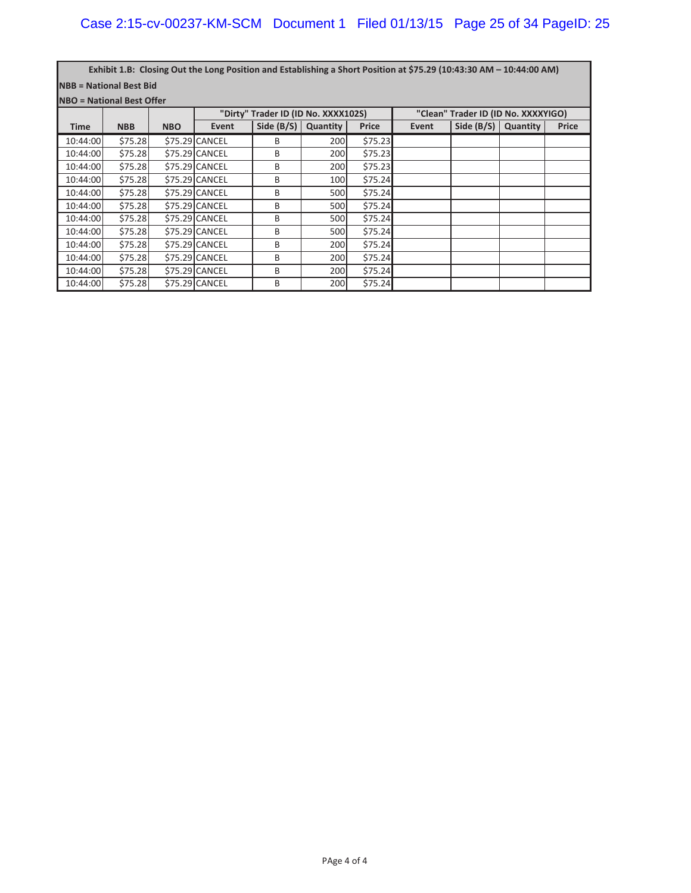**NBB = National Best Bid** Exhibit 1.B: Closing Out the Long Position and Establishing a Short Position at \$75.29 (10:43:30 AM - 10:44:00 AM)

**NBO = National Best Offer**

|             |            |            |                | "Dirty" Trader ID (ID No. XXXX102S) |          |              |       | "Clean" Trader ID (ID No. XXXXYIGO) |          |              |
|-------------|------------|------------|----------------|-------------------------------------|----------|--------------|-------|-------------------------------------|----------|--------------|
| <b>Time</b> | <b>NBB</b> | <b>NBO</b> | Event          | Side $(B/S)$                        | Quantity | <b>Price</b> | Event | Side $(B/S)$                        | Quantity | <b>Price</b> |
| 10:44:00    | \$75.28    |            | \$75.29 CANCEL | B                                   | 200      | \$75.23      |       |                                     |          |              |
| 10:44:00    | \$75.28    |            | \$75.29 CANCEL | B                                   | 200      | \$75.23      |       |                                     |          |              |
| 10:44:00    | \$75.28    |            | \$75.29 CANCEL | B                                   | 200      | \$75.23      |       |                                     |          |              |
| 10:44:00    | \$75.28    |            | \$75.29 CANCEL | B                                   | 100      | \$75.24      |       |                                     |          |              |
| 10:44:00    | \$75.28    |            | \$75.29 CANCEL | B                                   | 500      | \$75.24      |       |                                     |          |              |
| 10:44:00    | \$75.28    |            | \$75.29 CANCEL | B                                   | 500      | \$75.24      |       |                                     |          |              |
| 10:44:00    | \$75.28    |            | \$75.29 CANCEL | B                                   | 500      | \$75.24      |       |                                     |          |              |
| 10:44:00    | \$75.28    |            | \$75.29 CANCEL | B                                   | 500      | \$75.24      |       |                                     |          |              |
| 10:44:00    | \$75.28    |            | \$75.29 CANCEL | B                                   | 200      | \$75.24      |       |                                     |          |              |
| 10:44:00    | \$75.28    |            | \$75.29 CANCEL | B                                   | 200      | \$75.24      |       |                                     |          |              |
| 10:44:00    | \$75.28    |            | \$75.29 CANCEL | B                                   | 200      | \$75.24      |       |                                     |          |              |
| 10:44:00    | \$75.28    |            | \$75.29 CANCEL | B                                   | 200      | \$75.24      |       |                                     |          |              |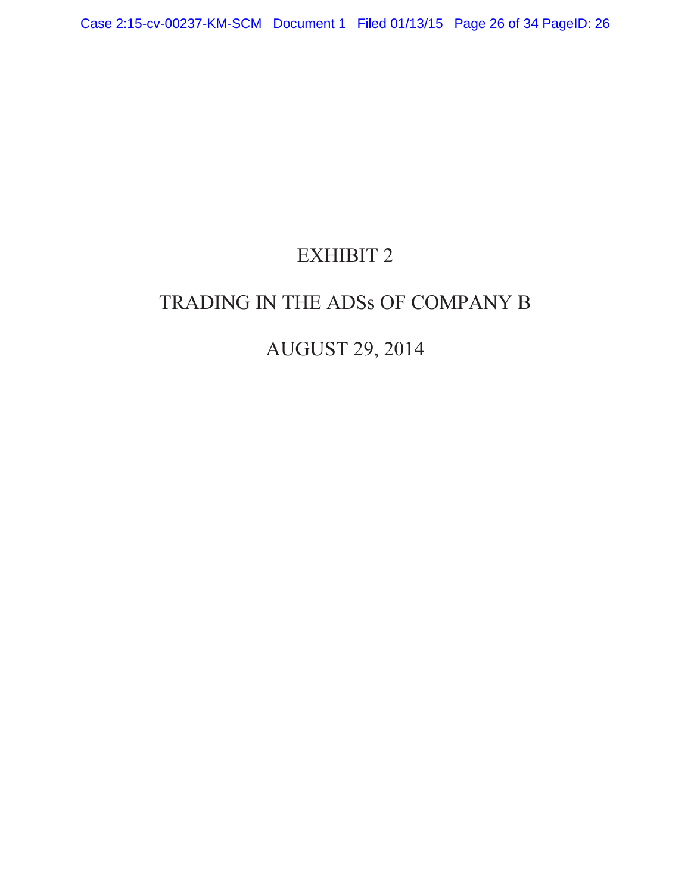# EXHIBIT 2

# TRADING IN THE ADSs OF COMPANY B

# AUGUST 29, 2014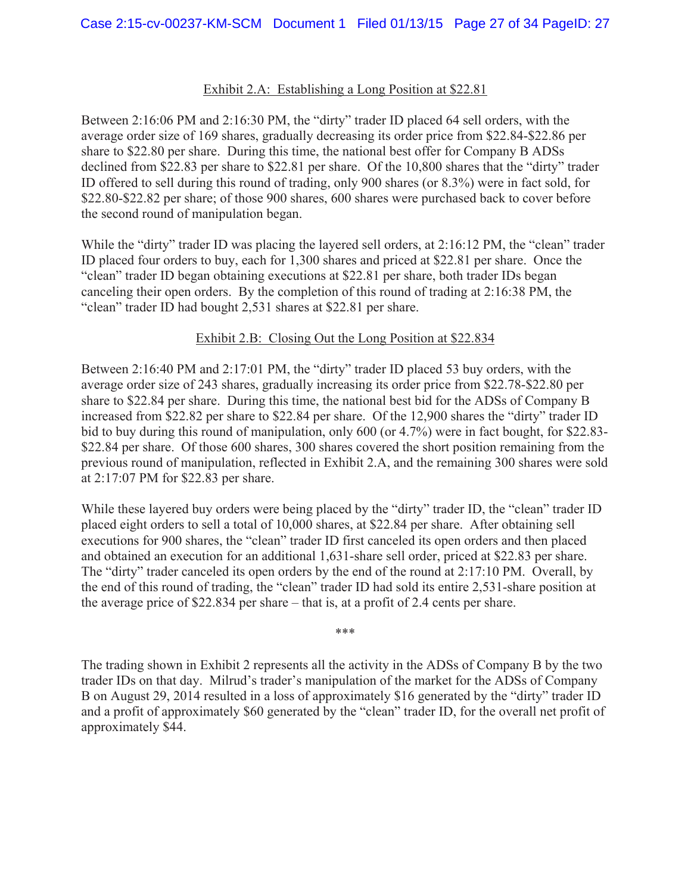## Exhibit 2.A: Establishing a Long Position at \$22.81

Between 2:16:06 PM and 2:16:30 PM, the "dirty" trader ID placed 64 sell orders, with the average order size of 169 shares, gradually decreasing its order price from \$22.84-\$22.86 per share to \$22.80 per share. During this time, the national best offer for Company B ADSs declined from \$22.83 per share to \$22.81 per share. Of the 10,800 shares that the "dirty" trader ID offered to sell during this round of trading, only 900 shares (or 8.3%) were in fact sold, for \$22.80-\$22.82 per share; of those 900 shares, 600 shares were purchased back to cover before the second round of manipulation began.

While the "dirty" trader ID was placing the layered sell orders, at 2:16:12 PM, the "clean" trader ID placed four orders to buy, each for 1,300 shares and priced at \$22.81 per share. Once the "clean" trader ID began obtaining executions at \$22.81 per share, both trader IDs began canceling their open orders. By the completion of this round of trading at 2:16:38 PM, the "clean" trader ID had bought 2,531 shares at \$22.81 per share.

# Exhibit 2.B: Closing Out the Long Position at \$22.834

Between 2:16:40 PM and 2:17:01 PM, the "dirty" trader ID placed 53 buy orders, with the average order size of 243 shares, gradually increasing its order price from \$22.78-\$22.80 per share to \$22.84 per share. During this time, the national best bid for the ADSs of Company B increased from \$22.82 per share to \$22.84 per share. Of the 12,900 shares the "dirty" trader ID bid to buy during this round of manipulation, only 600 (or 4.7%) were in fact bought, for \$22.83- \$22.84 per share. Of those 600 shares, 300 shares covered the short position remaining from the previous round of manipulation, reflected in Exhibit 2.A, and the remaining 300 shares were sold at 2:17:07 PM for \$22.83 per share.

While these layered buy orders were being placed by the "dirty" trader ID, the "clean" trader ID placed eight orders to sell a total of 10,000 shares, at \$22.84 per share. After obtaining sell executions for 900 shares, the "clean" trader ID first canceled its open orders and then placed and obtained an execution for an additional 1,631-share sell order, priced at \$22.83 per share. The "dirty" trader canceled its open orders by the end of the round at 2:17:10 PM. Overall, by the end of this round of trading, the "clean" trader ID had sold its entire 2,531-share position at the average price of \$22.834 per share – that is, at a profit of 2.4 cents per share.

\*\*\*

The trading shown in Exhibit 2 represents all the activity in the ADSs of Company B by the two trader IDs on that day. Milrud's trader's manipulation of the market for the ADSs of Company B on August 29, 2014 resulted in a loss of approximately \$16 generated by the "dirty" trader ID and a profit of approximately \$60 generated by the "clean" trader ID, for the overall net profit of approximately \$44.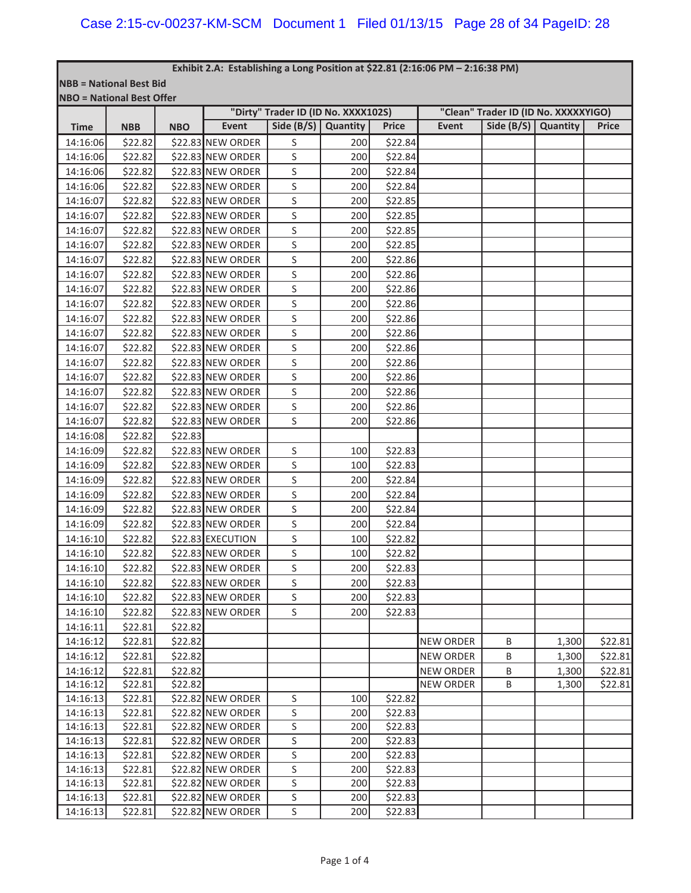**NBB = National Best Bid**

| <b>NBO = National Best Offer</b> |            |            |                   |                                     |          |              |                  |                                      |          |              |
|----------------------------------|------------|------------|-------------------|-------------------------------------|----------|--------------|------------------|--------------------------------------|----------|--------------|
|                                  |            |            |                   | "Dirty" Trader ID (ID No. XXXX102S) |          |              |                  | "Clean" Trader ID (ID No. XXXXXYIGO) |          |              |
| <b>Time</b>                      | <b>NBB</b> | <b>NBO</b> | <b>Event</b>      | Side $(B/S)$                        | Quantity | <b>Price</b> | Event            | Side $(B/S)$                         | Quantity | <b>Price</b> |
| 14:16:06                         | \$22.82    |            | \$22.83 NEW ORDER | S                                   | 200      | \$22.84      |                  |                                      |          |              |
| 14:16:06                         | \$22.82    |            | \$22.83 NEW ORDER | S                                   | 200      | \$22.84      |                  |                                      |          |              |
| 14:16:06                         | \$22.82    |            | \$22.83 NEW ORDER | S                                   | 200      | \$22.84      |                  |                                      |          |              |
| 14:16:06                         | \$22.82    |            | \$22.83 NEW ORDER | S                                   | 200      | \$22.84      |                  |                                      |          |              |
| 14:16:07                         | \$22.82    |            | \$22.83 NEW ORDER | S                                   | 200      | \$22.85      |                  |                                      |          |              |
| 14:16:07                         | \$22.82    |            | \$22.83 NEW ORDER | S                                   | 200      | \$22.85      |                  |                                      |          |              |
| 14:16:07                         | \$22.82    |            | \$22.83 NEW ORDER | S                                   | 200      | \$22.85      |                  |                                      |          |              |
| 14:16:07                         | \$22.82    |            | \$22.83 NEW ORDER | S                                   | 200      | \$22.85      |                  |                                      |          |              |
| 14:16:07                         | \$22.82    |            | \$22.83 NEW ORDER | S                                   | 200      | \$22.86      |                  |                                      |          |              |
| 14:16:07                         | \$22.82    |            | \$22.83 NEW ORDER | S                                   | 200      | \$22.86      |                  |                                      |          |              |
| 14:16:07                         | \$22.82    |            | \$22.83 NEW ORDER | S                                   | 200      | \$22.86      |                  |                                      |          |              |
| 14:16:07                         | \$22.82    |            | \$22.83 NEW ORDER | S                                   | 200      | \$22.86      |                  |                                      |          |              |
| 14:16:07                         | \$22.82    |            | \$22.83 NEW ORDER | S                                   | 200      | \$22.86      |                  |                                      |          |              |
| 14:16:07                         | \$22.82    |            | \$22.83 NEW ORDER | S                                   | 200      | \$22.86      |                  |                                      |          |              |
| 14:16:07                         | \$22.82    |            | \$22.83 NEW ORDER | S                                   | 200      | \$22.86      |                  |                                      |          |              |
| 14:16:07                         | \$22.82    |            | \$22.83 NEW ORDER | S                                   | 200      | \$22.86      |                  |                                      |          |              |
| 14:16:07                         | \$22.82    |            | \$22.83 NEW ORDER | S                                   | 200      | \$22.86      |                  |                                      |          |              |
| 14:16:07                         | \$22.82    |            | \$22.83 NEW ORDER | S                                   | 200      | \$22.86      |                  |                                      |          |              |
| 14:16:07                         | \$22.82    |            | \$22.83 NEW ORDER | S                                   | 200      | \$22.86      |                  |                                      |          |              |
| 14:16:07                         | \$22.82    |            | \$22.83 NEW ORDER | S                                   | 200      | \$22.86      |                  |                                      |          |              |
| 14:16:08                         | \$22.82    | \$22.83    |                   |                                     |          |              |                  |                                      |          |              |
| 14:16:09                         | \$22.82    |            | \$22.83 NEW ORDER | S                                   | 100      | \$22.83      |                  |                                      |          |              |
| 14:16:09                         | \$22.82    |            | \$22.83 NEW ORDER | S                                   | 100      | \$22.83      |                  |                                      |          |              |
| 14:16:09                         | \$22.82    |            | \$22.83 NEW ORDER | S                                   | 200      | \$22.84      |                  |                                      |          |              |
| 14:16:09                         | \$22.82    |            | \$22.83 NEW ORDER | S                                   | 200      | \$22.84      |                  |                                      |          |              |
| 14:16:09                         | \$22.82    |            | \$22.83 NEW ORDER | S                                   | 200      | \$22.84      |                  |                                      |          |              |
| 14:16:09                         | \$22.82    |            | \$22.83 NEW ORDER | S                                   | 200      | \$22.84      |                  |                                      |          |              |
| 14:16:10                         | \$22.82    |            | \$22.83 EXECUTION | S                                   | 100      | \$22.82      |                  |                                      |          |              |
| 14:16:10                         | \$22.82    |            | \$22.83 NEW ORDER | S                                   | 100      | \$22.82      |                  |                                      |          |              |
| 14:16:10                         | \$22.82    |            | \$22.83 NEW ORDER | S                                   | 200      | \$22.83      |                  |                                      |          |              |
| 14:16:10                         | \$22.82    |            | \$22.83 NEW ORDER | S                                   | 200      | \$22.83      |                  |                                      |          |              |
| 14:16:10                         | \$22.82    |            | \$22.83 NEW ORDER | S                                   | 200      | \$22.83      |                  |                                      |          |              |
| 14:16:10                         | \$22.82    |            | \$22.83 NEW ORDER | S                                   | 200      | \$22.83      |                  |                                      |          |              |
| 14:16:11                         | \$22.81    | \$22.82    |                   |                                     |          |              |                  |                                      |          |              |
| 14:16:12                         | \$22.81    | \$22.82    |                   |                                     |          |              | <b>NEW ORDER</b> | B                                    | 1,300    | \$22.81      |
| 14:16:12                         | \$22.81    | \$22.82    |                   |                                     |          |              | <b>NEW ORDER</b> | B                                    | 1,300    | \$22.81      |
| 14:16:12                         | \$22.81    | \$22.82    |                   |                                     |          |              | <b>NEW ORDER</b> | B                                    | 1,300    | \$22.81      |
| 14:16:12                         | \$22.81    | \$22.82    |                   |                                     |          |              | <b>NEW ORDER</b> | B                                    | 1,300    | \$22.81      |
| 14:16:13                         | \$22.81    |            | \$22.82 NEW ORDER | S                                   | 100      | \$22.82      |                  |                                      |          |              |
| 14:16:13                         | \$22.81    |            | \$22.82 NEW ORDER | S                                   | 200      | \$22.83      |                  |                                      |          |              |
| 14:16:13                         | \$22.81    |            | \$22.82 NEW ORDER | S                                   | 200      | \$22.83      |                  |                                      |          |              |
| 14:16:13                         | \$22.81    |            | \$22.82 NEW ORDER | S                                   | 200      | \$22.83      |                  |                                      |          |              |
| 14:16:13                         | \$22.81    |            | \$22.82 NEW ORDER | S                                   | 200      | \$22.83      |                  |                                      |          |              |
| 14:16:13                         | \$22.81    |            | \$22.82 NEW ORDER | S                                   | 200      | \$22.83      |                  |                                      |          |              |
| 14:16:13                         | \$22.81    |            | \$22.82 NEW ORDER | S                                   | 200      | \$22.83      |                  |                                      |          |              |
| 14:16:13                         | \$22.81    |            | \$22.82 NEW ORDER | S                                   | 200      | \$22.83      |                  |                                      |          |              |
| 14:16:13                         | \$22.81    |            | \$22.82 NEW ORDER | S                                   | 200      | \$22.83      |                  |                                      |          |              |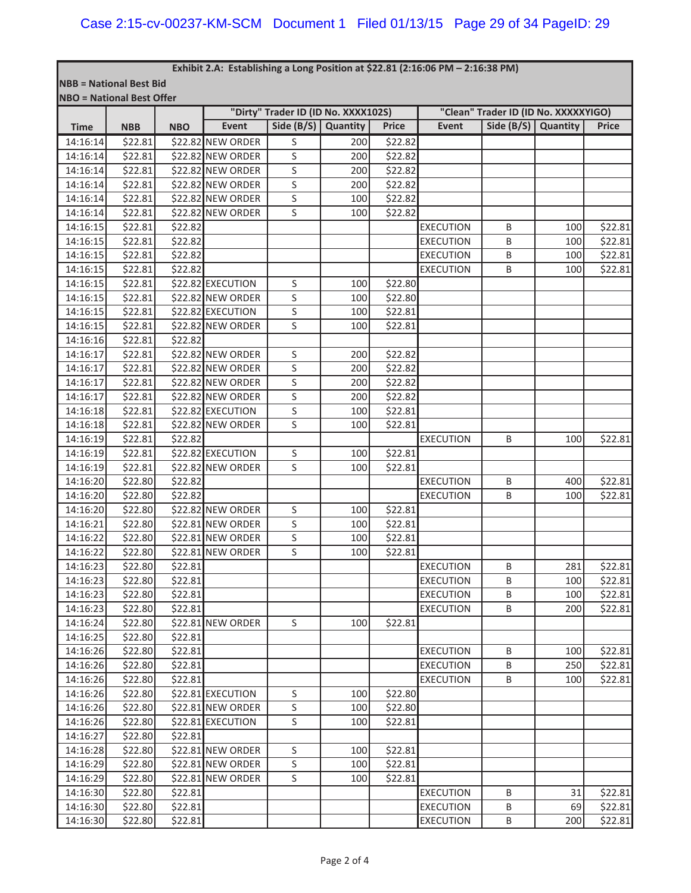**NBB = National Best Bid**

| <b>NBO</b> = National Best Offer |                    |            |                   | "Dirty" Trader ID (ID No. XXXX102S) |            |              | "Clean" Trader ID (ID No. XXXXXYIGO) |                       |     |              |  |
|----------------------------------|--------------------|------------|-------------------|-------------------------------------|------------|--------------|--------------------------------------|-----------------------|-----|--------------|--|
| <b>Time</b>                      | <b>NBB</b>         | <b>NBO</b> | <b>Event</b>      | Side $(B/S)$                        | Quantity   | <b>Price</b> | Event                                | Side $(B/S)$ Quantity |     | <b>Price</b> |  |
| 14:16:14                         | \$22.81            |            | \$22.82 NEW ORDER | S                                   | 200        | \$22.82      |                                      |                       |     |              |  |
| 14:16:14                         | \$22.81            |            | \$22.82 NEW ORDER | S                                   | 200        | \$22.82      |                                      |                       |     |              |  |
| 14:16:14                         | \$22.81            |            | \$22.82 NEW ORDER | S                                   | 200        | \$22.82      |                                      |                       |     |              |  |
| 14:16:14                         | \$22.81            |            | \$22.82 NEW ORDER | S                                   | 200        | \$22.82      |                                      |                       |     |              |  |
| 14:16:14                         | \$22.81            |            | \$22.82 NEW ORDER | $\sf S$                             | 100        | \$22.82      |                                      |                       |     |              |  |
| 14:16:14                         | \$22.81            |            | \$22.82 NEW ORDER | S                                   | 100        | \$22.82      |                                      |                       |     |              |  |
| 14:16:15                         | \$22.81            | \$22.82    |                   |                                     |            |              | <b>EXECUTION</b>                     | B                     | 100 | \$22.81      |  |
| 14:16:15                         | \$22.81            | \$22.82    |                   |                                     |            |              | <b>EXECUTION</b>                     | B                     | 100 | \$22.81      |  |
| 14:16:15                         | \$22.81            | \$22.82    |                   |                                     |            |              | <b>EXECUTION</b>                     | B                     | 100 | \$22.81      |  |
| 14:16:15                         | \$22.81            | \$22.82    |                   |                                     |            |              | <b>EXECUTION</b>                     | B                     | 100 | \$22.81      |  |
| 14:16:15                         | \$22.81            |            | \$22.82 EXECUTION | S                                   | 100        | \$22.80      |                                      |                       |     |              |  |
| 14:16:15                         | \$22.81            |            | \$22.82 NEW ORDER | $\sf S$                             | 100        | \$22.80      |                                      |                       |     |              |  |
| 14:16:15                         | \$22.81            |            | \$22.82 EXECUTION | $\mathsf S$                         | 100        | \$22.81      |                                      |                       |     |              |  |
| 14:16:15                         | \$22.81            |            | \$22.82 NEW ORDER | $\sf S$                             | 100        | \$22.81      |                                      |                       |     |              |  |
| 14:16:16                         | \$22.81            | \$22.82    |                   |                                     |            |              |                                      |                       |     |              |  |
| 14:16:17                         | \$22.81            |            | \$22.82 NEW ORDER | S                                   | 200        | \$22.82      |                                      |                       |     |              |  |
| 14:16:17                         | \$22.81            |            | \$22.82 NEW ORDER | $\sf S$                             | 200        | \$22.82      |                                      |                       |     |              |  |
| 14:16:17                         | \$22.81            |            | \$22.82 NEW ORDER | $\sf S$                             | 200        | \$22.82      |                                      |                       |     |              |  |
| 14:16:17                         | \$22.81            |            | \$22.82 NEW ORDER | $\overline{\mathsf{S}}$             | 200        | \$22.82      |                                      |                       |     |              |  |
| 14:16:18                         | \$22.81            |            | \$22.82 EXECUTION | S                                   | 100        | \$22.81      |                                      |                       |     |              |  |
| 14:16:18                         | \$22.81            |            | \$22.82 NEW ORDER | S                                   | 100        | \$22.81      |                                      |                       |     |              |  |
| 14:16:19                         | \$22.81            | \$22.82    |                   |                                     |            |              | <b>EXECUTION</b>                     | B                     | 100 | \$22.81      |  |
| 14:16:19                         | \$22.81            |            | \$22.82 EXECUTION | $\mathsf S$                         | 100        | \$22.81      |                                      |                       |     |              |  |
| 14:16:19                         | \$22.81            |            | \$22.82 NEW ORDER | S                                   | 100        | \$22.81      |                                      |                       |     |              |  |
| 14:16:20                         | \$22.80            | \$22.82    |                   |                                     |            |              | <b>EXECUTION</b>                     | B                     | 400 | \$22.81      |  |
| 14:16:20                         | \$22.80            | \$22.82    |                   |                                     |            |              | <b>EXECUTION</b>                     | B                     | 100 | \$22.81      |  |
| 14:16:20                         | \$22.80            |            | \$22.82 NEW ORDER | S                                   | 100        | \$22.81      |                                      |                       |     |              |  |
| 14:16:21                         | \$22.80            |            | \$22.81 NEW ORDER | $\sf S$                             | 100        | \$22.81      |                                      |                       |     |              |  |
| 14:16:22                         | \$22.80            |            | \$22.81 NEW ORDER | $\sf S$                             |            | \$22.81      |                                      |                       |     |              |  |
|                                  | \$22.80            |            | \$22.81 NEW ORDER | S                                   | 100<br>100 | \$22.81      |                                      |                       |     |              |  |
| 14:16:22<br>14:16:23             | \$22.80            | \$22.81    |                   |                                     |            |              | <b>EXECUTION</b>                     | B                     | 281 | \$22.81      |  |
| 14:16:23                         | \$22.80            | \$22.81    |                   |                                     |            |              | <b>EXECUTION</b>                     | B                     | 100 | \$22.81      |  |
| 14:16:23                         | \$22.80            | 522.81     |                   |                                     |            |              | <b>EXECUTION</b>                     | B                     | 100 | \$22.81      |  |
| 14:16:23                         | \$22.80            | \$22.81    |                   |                                     |            |              | <b>EXECUTION</b>                     | B                     | 200 | \$22.81      |  |
| 14:16:24                         | \$22.80            |            | \$22.81 NEW ORDER | $\mathsf S$                         | 100        | \$22.81      |                                      |                       |     |              |  |
| 14:16:25                         | \$22.80            | \$22.81    |                   |                                     |            |              |                                      |                       |     |              |  |
| 14:16:26                         | \$22.80            | \$22.81    |                   |                                     |            |              | <b>EXECUTION</b>                     | B                     | 100 | \$22.81      |  |
| 14:16:26                         | \$22.80            | \$22.81    |                   |                                     |            |              | <b>EXECUTION</b>                     | B                     | 250 | \$22.81      |  |
| 14:16:26                         | \$22.80            | \$22.81    |                   |                                     |            |              | <b>EXECUTION</b>                     | B                     | 100 | \$22.81      |  |
| 14:16:26                         | \$22.80            |            | \$22.81 EXECUTION | $\mathsf S$                         | 100        | \$22.80      |                                      |                       |     |              |  |
| 14:16:26                         | \$22.80            |            | \$22.81 NEW ORDER | S                                   | 100        | \$22.80      |                                      |                       |     |              |  |
| 14:16:26                         | \$22.80            |            | \$22.81 EXECUTION | S                                   | 100        | \$22.81      |                                      |                       |     |              |  |
| 14:16:27                         | \$22.80            | \$22.81    |                   |                                     |            |              |                                      |                       |     |              |  |
| 14:16:28                         | \$22.80            |            | \$22.81 NEW ORDER | $\sf S$                             | 100        | \$22.81      |                                      |                       |     |              |  |
| 14:16:29                         | \$22.80            |            | \$22.81 NEW ORDER | $\sf S$                             | 100        | \$22.81      |                                      |                       |     |              |  |
|                                  |                    |            |                   | $\sf S$                             |            |              |                                      |                       |     |              |  |
| 14:16:29<br>14:16:30             | \$22.80            |            | \$22.81 NEW ORDER |                                     | 100        | \$22.81      | <b>EXECUTION</b>                     | B                     | 31  | \$22.81      |  |
| 14:16:30                         | \$22.80<br>\$22.80 | \$22.81    |                   |                                     |            |              | <b>EXECUTION</b>                     |                       | 69  |              |  |
|                                  |                    | \$22.81    |                   |                                     |            |              |                                      | B                     |     | \$22.81      |  |
| 14:16:30                         | \$22.80            | \$22.81    |                   |                                     |            |              | <b>EXECUTION</b>                     | B                     | 200 | \$22.81      |  |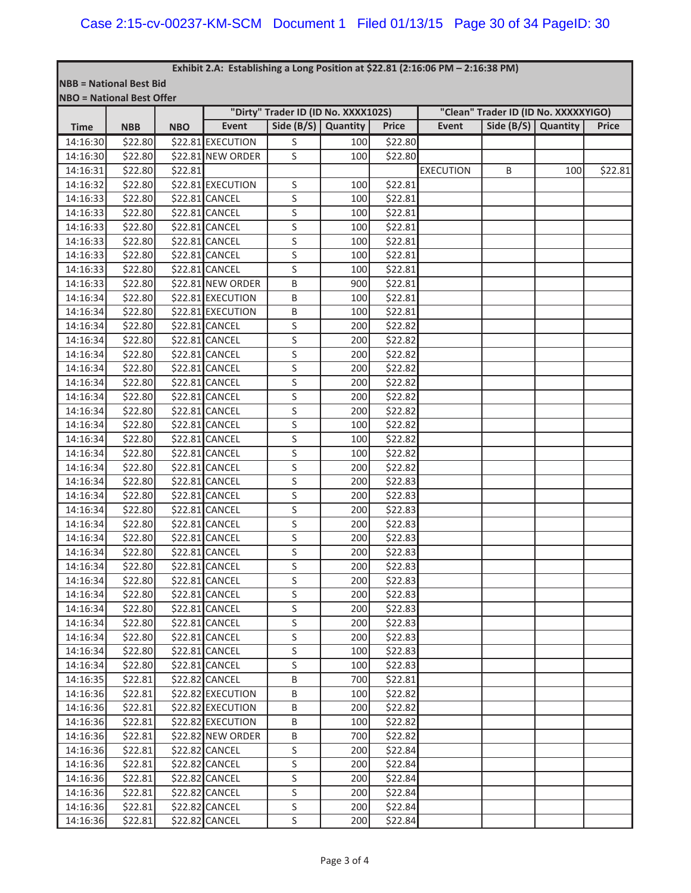**NBB = National Best Bid**

| <b>NBO = National Best Offer</b> |            |            |                   |                                     |     |              |                                      |              |          |              |  |
|----------------------------------|------------|------------|-------------------|-------------------------------------|-----|--------------|--------------------------------------|--------------|----------|--------------|--|
|                                  |            |            |                   | "Dirty" Trader ID (ID No. XXXX102S) |     |              | "Clean" Trader ID (ID No. XXXXXYIGO) |              |          |              |  |
| <b>Time</b>                      | <b>NBB</b> | <b>NBO</b> | <b>Event</b>      | Side $(B/S)$ Quantity               |     | <b>Price</b> | Event                                | Side $(B/S)$ | Quantity | <b>Price</b> |  |
| 14:16:30                         | \$22.80    |            | \$22.81 EXECUTION | S                                   | 100 | \$22.80      |                                      |              |          |              |  |
| 14:16:30                         | \$22.80    |            | \$22.81 NEW ORDER | S                                   | 100 | \$22.80      |                                      |              |          |              |  |
| 14:16:31                         | \$22.80    | \$22.81    |                   |                                     |     |              | <b>EXECUTION</b>                     | B            | 100      | \$22.81      |  |
| 14:16:32                         | \$22.80    |            | \$22.81 EXECUTION | S                                   | 100 | \$22.81      |                                      |              |          |              |  |
| 14:16:33                         | \$22.80    |            | \$22.81 CANCEL    | S                                   | 100 | \$22.81      |                                      |              |          |              |  |
| 14:16:33                         | \$22.80    |            | \$22.81 CANCEL    | S                                   | 100 | \$22.81      |                                      |              |          |              |  |
| 14:16:33                         | \$22.80    |            | \$22.81 CANCEL    | S                                   | 100 | \$22.81      |                                      |              |          |              |  |
| 14:16:33                         | \$22.80    |            | \$22.81 CANCEL    | S                                   | 100 | \$22.81      |                                      |              |          |              |  |
| 14:16:33                         | \$22.80    |            | \$22.81 CANCEL    | S                                   | 100 | \$22.81      |                                      |              |          |              |  |
| 14:16:33                         | \$22.80    |            | \$22.81 CANCEL    | S                                   | 100 | \$22.81      |                                      |              |          |              |  |
| 14:16:33                         | \$22.80    |            | \$22.81 NEW ORDER | B                                   | 900 | \$22.81      |                                      |              |          |              |  |
| 14:16:34                         | \$22.80    |            | \$22.81 EXECUTION | B                                   | 100 | \$22.81      |                                      |              |          |              |  |
| 14:16:34                         | \$22.80    |            | \$22.81 EXECUTION | В                                   | 100 | \$22.81      |                                      |              |          |              |  |
| 14:16:34                         | \$22.80    |            | \$22.81 CANCEL    | S                                   | 200 | \$22.82      |                                      |              |          |              |  |
| 14:16:34                         | \$22.80    |            | \$22.81 CANCEL    | S                                   | 200 | \$22.82      |                                      |              |          |              |  |
| 14:16:34                         | \$22.80    |            | \$22.81 CANCEL    | S                                   | 200 | \$22.82      |                                      |              |          |              |  |
| 14:16:34                         | \$22.80    |            | \$22.81 CANCEL    | S                                   | 200 | \$22.82      |                                      |              |          |              |  |
| 14:16:34                         | \$22.80    |            | \$22.81 CANCEL    | S                                   | 200 | \$22.82      |                                      |              |          |              |  |
| 14:16:34                         | \$22.80    |            | \$22.81 CANCEL    | S                                   | 200 | \$22.82      |                                      |              |          |              |  |
| 14:16:34                         | \$22.80    |            | \$22.81 CANCEL    | S                                   | 200 | \$22.82      |                                      |              |          |              |  |
| 14:16:34                         | \$22.80    |            | \$22.81 CANCEL    | S                                   | 100 | \$22.82      |                                      |              |          |              |  |
| 14:16:34                         | \$22.80    |            | \$22.81 CANCEL    | S                                   | 100 | \$22.82      |                                      |              |          |              |  |
| 14:16:34                         | \$22.80    |            | \$22.81 CANCEL    | S                                   | 100 | \$22.82      |                                      |              |          |              |  |
| 14:16:34                         | \$22.80    |            | \$22.81 CANCEL    | S                                   | 200 | \$22.82      |                                      |              |          |              |  |
| 14:16:34                         | \$22.80    |            | \$22.81 CANCEL    | S                                   | 200 | \$22.83      |                                      |              |          |              |  |
| 14:16:34                         | \$22.80    |            | \$22.81 CANCEL    | S                                   | 200 | \$22.83      |                                      |              |          |              |  |
| 14:16:34                         | \$22.80    |            | \$22.81 CANCEL    | S                                   | 200 | \$22.83      |                                      |              |          |              |  |
| 14:16:34                         | \$22.80    |            | \$22.81 CANCEL    | S                                   | 200 | \$22.83      |                                      |              |          |              |  |
| 14:16:34                         | \$22.80    |            | \$22.81 CANCEL    | S                                   | 200 | \$22.83      |                                      |              |          |              |  |
| 14:16:34                         | \$22.80    |            | \$22.81 CANCEL    | S                                   | 200 | \$22.83      |                                      |              |          |              |  |
| 14:16:34                         | \$22.80    |            | \$22.81 CANCEL    | S                                   | 200 | \$22.83      |                                      |              |          |              |  |
| 14:16:34                         | \$22.80    |            | \$22.81 CANCEL    | S                                   | 200 | \$22.83      |                                      |              |          |              |  |
| 14:16:34                         | \$22.80    |            | \$22.81 CANCEL    | S                                   | 200 | \$22.83      |                                      |              |          |              |  |
| 14:16:34                         | \$22.80    |            | \$22.81 CANCEL    | S                                   | 200 | \$22.83      |                                      |              |          |              |  |
| 14:16:34                         | \$22.80    |            | \$22.81 CANCEL    | S                                   | 200 | \$22.83      |                                      |              |          |              |  |
| 14:16:34                         | \$22.80    |            | \$22.81 CANCEL    | S                                   | 200 | \$22.83      |                                      |              |          |              |  |
| 14:16:34                         | \$22.80    |            | \$22.81 CANCEL    | S                                   | 100 | \$22.83      |                                      |              |          |              |  |
| 14:16:34                         | \$22.80    |            | \$22.81 CANCEL    | S                                   | 100 | \$22.83      |                                      |              |          |              |  |
| 14:16:35                         | \$22.81    |            | \$22.82 CANCEL    | Β                                   | 700 | \$22.81      |                                      |              |          |              |  |
| 14:16:36                         | \$22.81    |            | \$22.82 EXECUTION | В                                   | 100 | \$22.82      |                                      |              |          |              |  |
| 14:16:36                         | \$22.81    |            | \$22.82 EXECUTION | В                                   | 200 | \$22.82      |                                      |              |          |              |  |
| 14:16:36                         | \$22.81    |            | \$22.82 EXECUTION | B                                   | 100 | \$22.82      |                                      |              |          |              |  |
| 14:16:36                         | \$22.81    |            | \$22.82 NEW ORDER | В                                   | 700 | \$22.82      |                                      |              |          |              |  |
| 14:16:36                         | \$22.81    |            | \$22.82 CANCEL    | S                                   | 200 | \$22.84      |                                      |              |          |              |  |
| 14:16:36                         | \$22.81    |            | \$22.82 CANCEL    | S                                   | 200 | \$22.84      |                                      |              |          |              |  |
| 14:16:36                         | \$22.81    |            | \$22.82 CANCEL    | S                                   | 200 | \$22.84      |                                      |              |          |              |  |
| 14:16:36                         | \$22.81    |            | \$22.82 CANCEL    | S                                   | 200 | \$22.84      |                                      |              |          |              |  |
| 14:16:36                         | \$22.81    |            | \$22.82 CANCEL    | S                                   | 200 | \$22.84      |                                      |              |          |              |  |
| 14:16:36                         | \$22.81    |            | \$22.82 CANCEL    | S                                   | 200 | \$22.84      |                                      |              |          |              |  |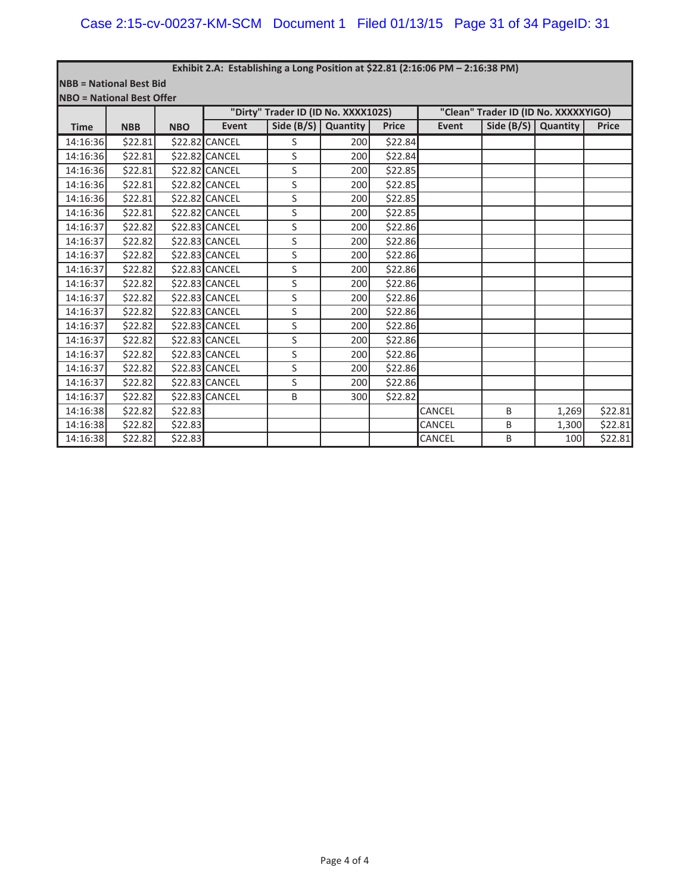**NBB = National Best Bid NBO = National Best Offer**

| INDU – Nduondi best Uller |            |            |                       |                                     |          |              |        |                                      |          |              |  |  |  |
|---------------------------|------------|------------|-----------------------|-------------------------------------|----------|--------------|--------|--------------------------------------|----------|--------------|--|--|--|
|                           |            |            |                       | "Dirty" Trader ID (ID No. XXXX102S) |          |              |        | "Clean" Trader ID (ID No. XXXXXYIGO) |          |              |  |  |  |
| <b>Time</b>               | <b>NBB</b> | <b>NBO</b> | Event                 | Side $(B/S)$                        | Quantity | <b>Price</b> | Event  | Side $(B/S)$                         | Quantity | <b>Price</b> |  |  |  |
| 14:16:36                  | \$22.81    |            | \$22.82 CANCEL        | S                                   | 200      | \$22.84      |        |                                      |          |              |  |  |  |
| 14:16:36                  | \$22.81    |            | \$22.82 CANCEL        | S                                   | 200      | \$22.84      |        |                                      |          |              |  |  |  |
| 14:16:36                  | \$22.81    |            | \$22.82 CANCEL        | S                                   | 200      | \$22.85      |        |                                      |          |              |  |  |  |
| 14:16:36                  | \$22.81    |            | \$22.82 CANCEL        | S                                   | 200      | \$22.85      |        |                                      |          |              |  |  |  |
| 14:16:36                  | \$22.81    |            | \$22.82 CANCEL        | S                                   | 200      | \$22.85      |        |                                      |          |              |  |  |  |
| 14:16:36                  | \$22.81    |            | \$22.82 CANCEL        | S                                   | 200      | \$22.85      |        |                                      |          |              |  |  |  |
| 14:16:37                  | \$22.82    |            | \$22.83 CANCEL        | S                                   | 200      | \$22.86      |        |                                      |          |              |  |  |  |
| 14:16:37                  | \$22.82    |            | \$22.83 CANCEL        | S                                   | 200      | \$22.86      |        |                                      |          |              |  |  |  |
| 14:16:37                  | \$22.82    |            | <b>\$22.83 CANCEL</b> | S                                   | 200      | \$22.86      |        |                                      |          |              |  |  |  |
| 14:16:37                  | \$22.82    |            | \$22.83 CANCEL        | S                                   | 200      | \$22.86      |        |                                      |          |              |  |  |  |
| 14:16:37                  | \$22.82    |            | \$22.83 CANCEL        | S                                   | 200      | \$22.86      |        |                                      |          |              |  |  |  |
| 14:16:37                  | \$22.82    |            | \$22.83 CANCEL        | S                                   | 200      | \$22.86      |        |                                      |          |              |  |  |  |
| 14:16:37                  | \$22.82    |            | \$22.83 CANCEL        | S                                   | 200      | \$22.86      |        |                                      |          |              |  |  |  |
| 14:16:37                  | \$22.82    |            | \$22.83 CANCEL        | S                                   | 200      | \$22.86      |        |                                      |          |              |  |  |  |
| 14:16:37                  | \$22.82    |            | \$22.83 CANCEL        | S                                   | 200      | \$22.86      |        |                                      |          |              |  |  |  |
| 14:16:37                  | \$22.82    |            | \$22.83 CANCEL        | S                                   | 200      | \$22.86      |        |                                      |          |              |  |  |  |
| 14:16:37                  | \$22.82    |            | \$22.83 CANCEL        | S                                   | 200      | \$22.86      |        |                                      |          |              |  |  |  |
| 14:16:37                  | \$22.82    |            | \$22.83 CANCEL        | S                                   | 200      | \$22.86      |        |                                      |          |              |  |  |  |
| 14:16:37                  | \$22.82    |            | \$22.83 CANCEL        | B                                   | 300      | \$22.82      |        |                                      |          |              |  |  |  |
| 14:16:38                  | \$22.82    | \$22.83    |                       |                                     |          |              | CANCEL | B                                    | 1,269    | \$22.81      |  |  |  |
| 14:16:38                  | \$22.82    | \$22.83    |                       |                                     |          |              | CANCEL | B                                    | 1,300    | \$22.81      |  |  |  |
| 14:16:38                  | \$22.82    | \$22.83    |                       |                                     |          |              | CANCEL | B                                    | 100      | \$22.81      |  |  |  |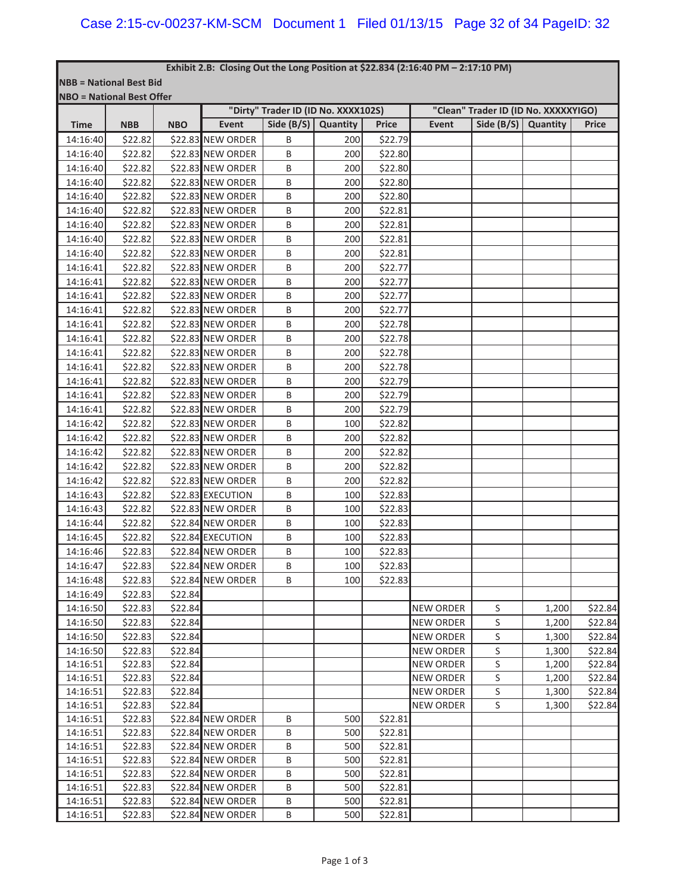#### **Exhibit 2.B:Closing Out the Long Position at \$22.834 (2:16:40 PM – 2:17:10 PM)**

**NBB = National Best Bid NBO = National Best Offer**

|             |            |            | "Dirty" Trader ID (ID No. XXXX102S) |              |          |              | "Clean" Trader ID (ID No. XXXXXYIGO) |              |          |              |  |  |
|-------------|------------|------------|-------------------------------------|--------------|----------|--------------|--------------------------------------|--------------|----------|--------------|--|--|
| <b>Time</b> | <b>NBB</b> | <b>NBO</b> | Event                               | Side $(B/S)$ | Quantity | <b>Price</b> | Event                                | Side $(B/S)$ | Quantity | <b>Price</b> |  |  |
| 14:16:40    | \$22.82    |            | \$22.83 NEW ORDER                   | B            | 200      | \$22.79      |                                      |              |          |              |  |  |
| 14:16:40    | \$22.82    |            | \$22.83 NEW ORDER                   | B            | 200      | \$22.80      |                                      |              |          |              |  |  |
| 14:16:40    | \$22.82    |            | \$22.83 NEW ORDER                   | В            | 200      | \$22.80      |                                      |              |          |              |  |  |
| 14:16:40    | \$22.82    |            | \$22.83 NEW ORDER                   | В            | 200      | \$22.80      |                                      |              |          |              |  |  |
| 14:16:40    | \$22.82    |            | \$22.83 NEW ORDER                   | В            | 200      | \$22.80      |                                      |              |          |              |  |  |
| 14:16:40    | \$22.82    |            | \$22.83 NEW ORDER                   | B            | 200      | \$22.81      |                                      |              |          |              |  |  |
| 14:16:40    | \$22.82    |            | \$22.83 NEW ORDER                   | В            | 200      | \$22.81      |                                      |              |          |              |  |  |
| 14:16:40    | \$22.82    |            | \$22.83 NEW ORDER                   | Β            | 200      | \$22.81      |                                      |              |          |              |  |  |
| 14:16:40    | \$22.82    |            | \$22.83 NEW ORDER                   | В            | 200      | \$22.81      |                                      |              |          |              |  |  |
| 14:16:41    | \$22.82    |            | \$22.83 NEW ORDER                   | B            | 200      | \$22.77      |                                      |              |          |              |  |  |
| 14:16:41    | \$22.82    |            | \$22.83 NEW ORDER                   | B            | 200      | \$22.77      |                                      |              |          |              |  |  |
| 14:16:41    | \$22.82    |            | \$22.83 NEW ORDER                   | B            | 200      | \$22.77      |                                      |              |          |              |  |  |
| 14:16:41    | \$22.82    |            | \$22.83 NEW ORDER                   | Β            | 200      | \$22.77      |                                      |              |          |              |  |  |
| 14:16:41    | \$22.82    |            | \$22.83 NEW ORDER                   | В            | 200      | \$22.78      |                                      |              |          |              |  |  |
| 14:16:41    | \$22.82    |            | \$22.83 NEW ORDER                   | B            | 200      | \$22.78      |                                      |              |          |              |  |  |
| 14:16:41    | \$22.82    |            | \$22.83 NEW ORDER                   | В            | 200      | \$22.78      |                                      |              |          |              |  |  |
| 14:16:41    | \$22.82    |            | \$22.83 NEW ORDER                   | Β            | 200      | \$22.78      |                                      |              |          |              |  |  |
| 14:16:41    | \$22.82    |            | \$22.83 NEW ORDER                   | Β            | 200      | \$22.79      |                                      |              |          |              |  |  |
| 14:16:41    | \$22.82    |            | \$22.83 NEW ORDER                   | В            | 200      | \$22.79      |                                      |              |          |              |  |  |
| 14:16:41    | \$22.82    |            | \$22.83 NEW ORDER                   | B            | 200      | \$22.79      |                                      |              |          |              |  |  |
| 14:16:42    | \$22.82    |            | \$22.83 NEW ORDER                   | B            | 100      | \$22.82      |                                      |              |          |              |  |  |
| 14:16:42    | \$22.82    |            | \$22.83 NEW ORDER                   | Β            | 200      | \$22.82      |                                      |              |          |              |  |  |
| 14:16:42    | \$22.82    |            | \$22.83 NEW ORDER                   | В            | 200      | \$22.82      |                                      |              |          |              |  |  |
| 14:16:42    | \$22.82    |            | \$22.83 NEW ORDER                   | В            | 200      | \$22.82      |                                      |              |          |              |  |  |
| 14:16:42    | \$22.82    |            | \$22.83 NEW ORDER                   | В            | 200      | \$22.82      |                                      |              |          |              |  |  |
| 14:16:43    | \$22.82    |            | \$22.83 EXECUTION                   | B            | 100      | \$22.83      |                                      |              |          |              |  |  |
| 14:16:43    | \$22.82    |            | \$22.83 NEW ORDER                   | Β            | 100      | \$22.83      |                                      |              |          |              |  |  |
| 14:16:44    | \$22.82    |            | \$22.84 NEW ORDER                   | Β            | 100      | \$22.83      |                                      |              |          |              |  |  |
| 14:16:45    | \$22.82    |            | \$22.84 EXECUTION                   | В            | 100      | \$22.83      |                                      |              |          |              |  |  |
| 14:16:46    | \$22.83    |            | \$22.84 NEW ORDER                   | B            | 100      | \$22.83      |                                      |              |          |              |  |  |
| 14:16:47    | \$22.83    |            | \$22.84 NEW ORDER                   | B            | 100      | \$22.83      |                                      |              |          |              |  |  |
| 14:16:48    | \$22.83    |            | \$22.84 NEW ORDER                   | B            | 100      | \$22.83      |                                      |              |          |              |  |  |
| 14:16:49    | \$22.83    | \$22.84    |                                     |              |          |              |                                      |              |          |              |  |  |
| 14:16:50    | \$22.83    | \$22.84    |                                     |              |          |              | NEW ORDER                            | S            | 1,200    | \$22.84      |  |  |
| 14:16:50    | \$22.83    | \$22.84    |                                     |              |          |              | <b>NEW ORDER</b>                     | S            | 1,200    | \$22.84      |  |  |
| 14:16:50    | \$22.83    | \$22.84    |                                     |              |          |              | <b>NEW ORDER</b>                     | S            | 1,300    | \$22.84      |  |  |
| 14:16:50    | \$22.83    | \$22.84    |                                     |              |          |              | <b>NEW ORDER</b>                     | S            | 1,300    | \$22.84      |  |  |
| 14:16:51    | \$22.83    | \$22.84    |                                     |              |          |              | <b>NEW ORDER</b>                     | S            | 1,200    | \$22.84      |  |  |
| 14:16:51    | \$22.83    | \$22.84    |                                     |              |          |              | <b>NEW ORDER</b>                     | S            | 1,200    | \$22.84      |  |  |
| 14:16:51    | \$22.83    | \$22.84    |                                     |              |          |              | <b>NEW ORDER</b>                     | S            | 1,300    | \$22.84      |  |  |
| 14:16:51    | \$22.83    | \$22.84    |                                     |              |          |              | <b>NEW ORDER</b>                     | S            | 1,300    | \$22.84      |  |  |
| 14:16:51    | \$22.83    |            | \$22.84 NEW ORDER                   | B            | 500      | \$22.81      |                                      |              |          |              |  |  |
| 14:16:51    | \$22.83    |            | \$22.84 NEW ORDER                   | Β            | 500      | \$22.81      |                                      |              |          |              |  |  |
| 14:16:51    | \$22.83    |            | \$22.84 NEW ORDER                   | B            | 500      | \$22.81      |                                      |              |          |              |  |  |
| 14:16:51    | \$22.83    |            | \$22.84 NEW ORDER                   | B            | 500      | \$22.81      |                                      |              |          |              |  |  |
| 14:16:51    | \$22.83    |            | \$22.84 NEW ORDER                   | Β            | 500      | \$22.81      |                                      |              |          |              |  |  |
| 14:16:51    | \$22.83    |            | \$22.84 NEW ORDER                   | B            | 500      | \$22.81      |                                      |              |          |              |  |  |
| 14:16:51    | \$22.83    |            | \$22.84 NEW ORDER                   | B            | 500      | \$22.81      |                                      |              |          |              |  |  |
| 14:16:51    | \$22.83    |            | \$22.84 NEW ORDER                   | В            | 500      | \$22.81      |                                      |              |          |              |  |  |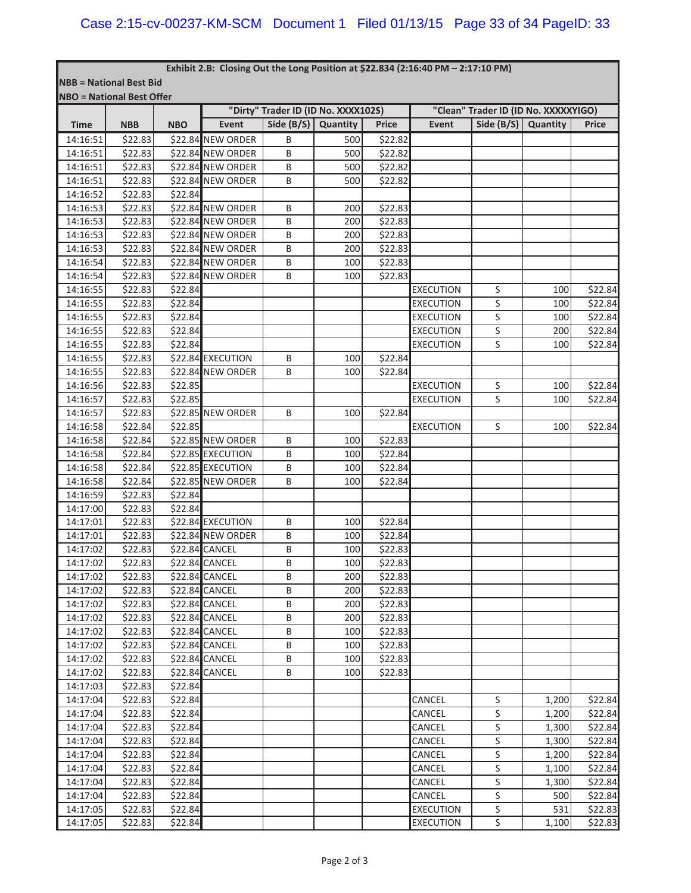### **Exhibit 2.B:Closing Out the Long Position at \$22.834 (2:16:40 PM – 2:17:10 PM)**

|  | <b>INBB = National Best Bid</b> |  |
|--|---------------------------------|--|
|  | INRO = National Rest Offer      |  |

|             | $100 - 1$ idional best Offer |            |                   | "Dirty" Trader ID (ID No. XXXX102S) |     | "Clean" Trader ID (ID No. XXXXXYIGO) |                  |                       |       |              |
|-------------|------------------------------|------------|-------------------|-------------------------------------|-----|--------------------------------------|------------------|-----------------------|-------|--------------|
| <b>Time</b> | <b>NBB</b>                   | <b>NBO</b> | Event             | Side $(B/S)$ Quantity               |     | Price                                | Event            | Side $(B/S)$ Quantity |       | <b>Price</b> |
| 14:16:51    | \$22.83                      |            | \$22.84 NEW ORDER | B                                   | 500 | \$22.82                              |                  |                       |       |              |
| 14:16:51    | \$22.83                      |            | \$22.84 NEW ORDER | B                                   | 500 | \$22.82                              |                  |                       |       |              |
| 14:16:51    | \$22.83                      |            | \$22.84 NEW ORDER | B                                   | 500 | \$22.82                              |                  |                       |       |              |
| 14:16:51    | \$22.83                      |            | \$22.84 NEW ORDER | B                                   | 500 | \$22.82                              |                  |                       |       |              |
| 14:16:52    | \$22.83                      | \$22.84    |                   |                                     |     |                                      |                  |                       |       |              |
| 14:16:53    | \$22.83                      |            | \$22.84 NEW ORDER | B                                   | 200 | \$22.83                              |                  |                       |       |              |
| 14:16:53    | \$22.83                      |            | \$22.84 NEW ORDER | B                                   | 200 | \$22.83                              |                  |                       |       |              |
| 14:16:53    | \$22.83                      |            | \$22.84 NEW ORDER | В                                   | 200 | \$22.83                              |                  |                       |       |              |
| 14:16:53    | \$22.83                      |            | \$22.84 NEW ORDER | Β                                   | 200 | \$22.83                              |                  |                       |       |              |
| 14:16:54    | \$22.83                      |            | \$22.84 NEW ORDER | В                                   | 100 | \$22.83                              |                  |                       |       |              |
| 14:16:54    | \$22.83                      |            | \$22.84 NEW ORDER | B                                   | 100 | \$22.83                              |                  |                       |       |              |
| 14:16:55    | \$22.83                      | \$22.84    |                   |                                     |     |                                      | <b>EXECUTION</b> | S                     | 100   | \$22.84      |
| 14:16:55    | \$22.83                      | \$22.84    |                   |                                     |     |                                      | <b>EXECUTION</b> | S                     | 100   | \$22.84      |
| 14:16:55    | \$22.83                      | \$22.84    |                   |                                     |     |                                      | <b>EXECUTION</b> | $\sf S$               | 100   | \$22.84      |
| 14:16:55    | \$22.83                      | \$22.84    |                   |                                     |     |                                      | <b>EXECUTION</b> | S                     | 200   | \$22.84      |
| 14:16:55    | \$22.83                      | \$22.84    |                   |                                     |     |                                      | <b>EXECUTION</b> | S                     | 100   | \$22.84      |
| 14:16:55    | \$22.83                      |            | \$22.84 EXECUTION | B                                   | 100 | \$22.84                              |                  |                       |       |              |
| 14:16:55    | \$22.83                      |            | \$22.84 NEW ORDER | В                                   | 100 | \$22.84                              |                  |                       |       |              |
| 14:16:56    | \$22.83                      | \$22.85    |                   |                                     |     |                                      | <b>EXECUTION</b> | S                     | 100   | \$22.84      |
| 14:16:57    | \$22.83                      | \$22.85    |                   |                                     |     |                                      | <b>EXECUTION</b> | S                     | 100   | \$22.84      |
| 14:16:57    | \$22.83                      |            | \$22.85 NEW ORDER | B                                   | 100 | \$22.84                              |                  |                       |       |              |
| 14:16:58    |                              |            |                   |                                     |     |                                      |                  | S                     |       |              |
| 14:16:58    | \$22.84<br>\$22.84           | \$22.85    | \$22.85 NEW ORDER |                                     |     |                                      | <b>EXECUTION</b> |                       | 100   | \$22.84      |
|             |                              |            |                   | B                                   | 100 | \$22.83                              |                  |                       |       |              |
| 14:16:58    | \$22.84                      |            | \$22.85 EXECUTION | Β                                   | 100 | \$22.84                              |                  |                       |       |              |
| 14:16:58    | \$22.84                      |            | \$22.85 EXECUTION | Β                                   | 100 | \$22.84                              |                  |                       |       |              |
| 14:16:58    | \$22.84                      |            | \$22.85 NEW ORDER | B                                   | 100 | \$22.84                              |                  |                       |       |              |
| 14:16:59    | \$22.83                      | \$22.84    |                   |                                     |     |                                      |                  |                       |       |              |
| 14:17:00    | \$22.83                      | \$22.84    |                   |                                     |     |                                      |                  |                       |       |              |
| 14:17:01    | \$22.83                      |            | \$22.84 EXECUTION | B                                   | 100 | \$22.84                              |                  |                       |       |              |
| 14:17:01    | \$22.83                      |            | \$22.84 NEW ORDER | B                                   | 100 | \$22.84                              |                  |                       |       |              |
| 14:17:02    | \$22.83                      |            | \$22.84 CANCEL    | B                                   | 100 | \$22.83                              |                  |                       |       |              |
| 14:17:02    | \$22.83                      |            | \$22.84 CANCEL    | B                                   | 100 | \$22.83                              |                  |                       |       |              |
| 14:17:02    | \$22.83                      |            | \$22.84 CANCEL    | B                                   | 200 | \$22.83                              |                  |                       |       |              |
| 14:17:02    | \$22.83                      |            | \$22.84 CANCEL    | B                                   | 200 | \$22.83                              |                  |                       |       |              |
| 14:17:02    | \$22.83                      |            | \$22.84 CANCEL    | Β                                   | 200 | \$22.83                              |                  |                       |       |              |
| 14:17:02    | \$22.83                      |            | \$22.84 CANCEL    | B                                   | 200 | \$22.83                              |                  |                       |       |              |
| 14:17:02    | \$22.83                      |            | \$22.84 CANCEL    | B                                   | 100 | \$22.83                              |                  |                       |       |              |
| 14:17:02    | \$22.83                      |            | \$22.84 CANCEL    | B                                   | 100 | \$22.83                              |                  |                       |       |              |
| 14:17:02    | \$22.83                      |            | \$22.84 CANCEL    | В                                   | 100 | \$22.83                              |                  |                       |       |              |
| 14:17:02    | \$22.83                      |            | \$22.84 CANCEL    | B                                   | 100 | \$22.83                              |                  |                       |       |              |
| 14:17:03    | \$22.83                      | \$22.84    |                   |                                     |     |                                      |                  |                       |       |              |
| 14:17:04    | \$22.83                      | \$22.84    |                   |                                     |     |                                      | CANCEL           | S                     | 1,200 | \$22.84      |
| 14:17:04    | \$22.83                      | \$22.84    |                   |                                     |     |                                      | CANCEL           | S                     | 1,200 | \$22.84      |
| 14:17:04    | \$22.83                      | \$22.84    |                   |                                     |     |                                      | CANCEL           | S                     | 1,300 | \$22.84      |
| 14:17:04    | \$22.83                      | \$22.84    |                   |                                     |     |                                      | CANCEL           | S                     | 1,300 | \$22.84      |
| 14:17:04    | \$22.83                      | \$22.84    |                   |                                     |     |                                      | CANCEL           | S                     | 1,200 | \$22.84      |
| 14:17:04    | \$22.83                      | \$22.84    |                   |                                     |     |                                      | CANCEL           | S                     | 1,100 | \$22.84      |
| 14:17:04    | \$22.83                      | \$22.84    |                   |                                     |     |                                      | CANCEL           | S                     | 1,300 | \$22.84      |
| 14:17:04    | \$22.83                      | \$22.84    |                   |                                     |     |                                      | CANCEL           | S                     | 500   | \$22.84      |
| 14:17:05    | \$22.83                      | \$22.84    |                   |                                     |     |                                      | <b>EXECUTION</b> | $\sf S$               | 531   | \$22.83      |
| 14:17:05    | \$22.83                      | \$22.84    |                   |                                     |     |                                      | <b>EXECUTION</b> | S                     | 1,100 | \$22.83      |